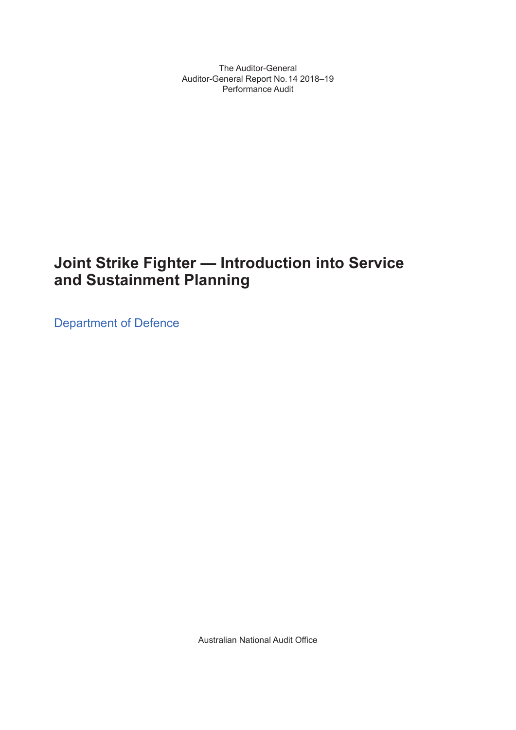The Auditor-General Auditor-General Report No. 14 2018–19 Performance Audit

## **Joint Strike Fighter — Introduction into Service and Sustainment Planning**

Department of Defence

Australian National Audit Office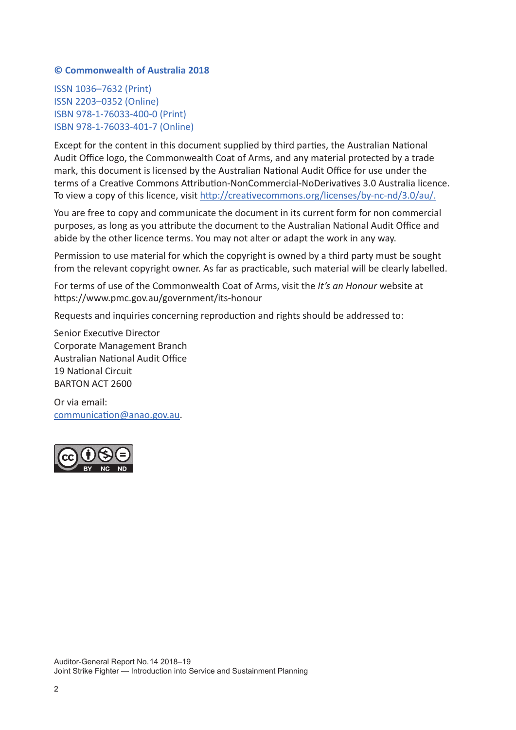#### **© Commonwealth of Australia 2018**

ISSN 1036–7632 (Print) ISSN 2203–0352 (Online) ISBN 978-1-76033-400-0 (Print) ISBN 978-1-76033-401-7 (Online)

Except for the content in this document supplied by third parties, the Australian National Audit Office logo, the Commonwealth Coat of Arms, and any material protected by a trade mark, this document is licensed by the Australian National Audit Office for use under the terms of a Creative Commons Attribution-NonCommercial-NoDerivatives 3.0 Australia licence. To view a copy of this licence, visit http://creativecommons.org/licenses/by-nc-nd/3.0/au/.

You are free to copy and communicate the document in its current form for non commercial purposes, as long as you attribute the document to the Australian National Audit Office and abide by the other licence terms. You may not alter or adapt the work in any way.

Permission to use material for which the copyright is owned by a third party must be sought from the relevant copyright owner. As far as practicable, such material will be clearly labelled.

For terms of use of the Commonwealth Coat of Arms, visit the *It's an Honour* website at https://www.pmc.gov.au/government/its-honour

Requests and inquiries concerning reproduction and rights should be addressed to:

Senior Executive Director Corporate Management Branch Australian National Audit Office 19 National Circuit BARTON ACT 2600

Or via email: communication@anao.gov.au.

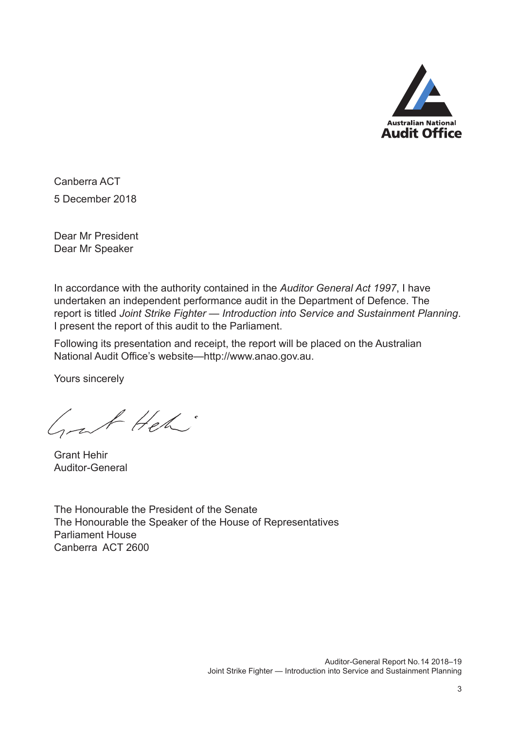

Canberra ACT 5 December 2018

Dear Mr President Dear Mr Speaker

In accordance with the authority contained in the *Auditor General Act 1997*, I have undertaken an independent performance audit in the Department of Defence. The report is titled *Joint Strike Fighter — Introduction into Service and Sustainment Planning*. I present the report of this audit to the Parliament.

Following its presentation and receipt, the report will be placed on the Australian National Audit Office's website—http://www.anao.gov.au.

Yours sincerely

Grat Heh:

Grant Hehir Auditor-General

The Honourable the President of the Senate The Honourable the Speaker of the House of Representatives Parliament House Canberra ACT 2600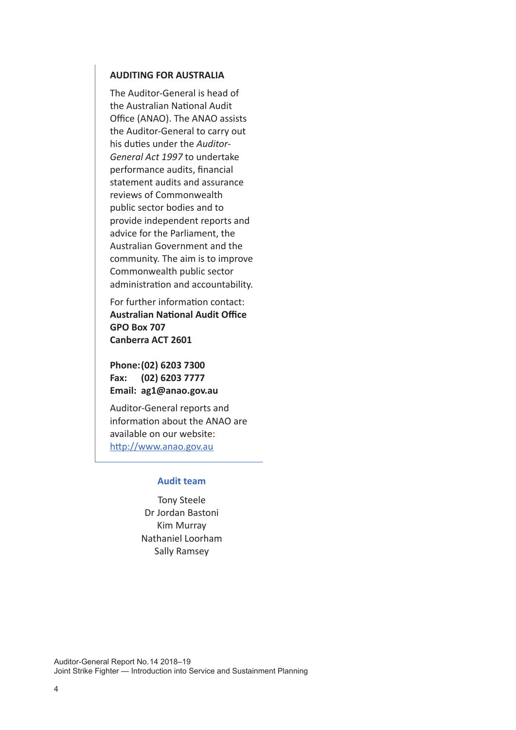#### **AUDITING FOR AUSTRALIA**

The Auditor-General is head of the Australian National Audit Office (ANAO). The ANAO assists the Auditor-General to carry out his duties under the *Auditor-General Act 1997* to undertake performance audits, financial statement audits and assurance reviews of Commonwealth public sector bodies and to provide independent reports and advice for the Parliament, the Australian Government and the community. The aim is to improve Commonwealth public sector administration and accountability.

For further information contact: **Australian National Audit Office GPO Box 707 Canberra ACT 2601**

**Phone:(02) 6203 7300 Fax: (02) 6203 7777 Email: ag1@anao.gov.au**

Auditor-General reports and information about the ANAO are available on our website: http://www.anao.gov.au

#### **Audit team**

Tony Steele Dr Jordan Bastoni Kim Murray Nathaniel Loorham Sally Ramsey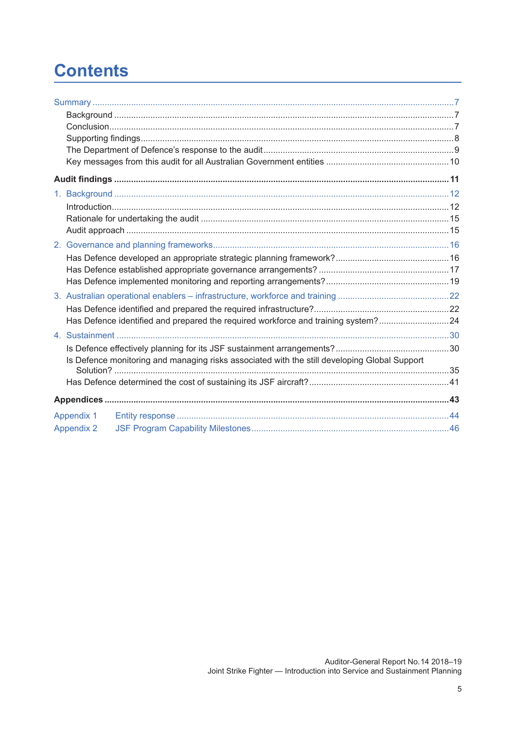## **Contents**

| Has Defence identified and prepared the required workforce and training system?24            |  |
|----------------------------------------------------------------------------------------------|--|
|                                                                                              |  |
|                                                                                              |  |
| Is Defence monitoring and managing risks associated with the still developing Global Support |  |
|                                                                                              |  |
|                                                                                              |  |
|                                                                                              |  |
| <b>Appendix 1</b>                                                                            |  |
| <b>Appendix 2</b>                                                                            |  |
|                                                                                              |  |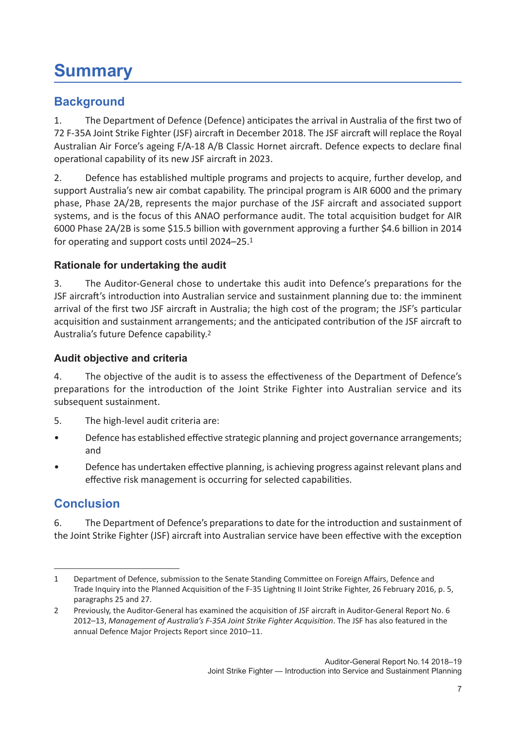## **Summary**

## **Background**

1. The Department of Defence (Defence) anticipates the arrival in Australia of the first two of 72 F-35A Joint Strike Fighter (JSF) aircraft in December 2018. The JSF aircraft will replace the Royal Australian Air Force's ageing F/A-18 A/B Classic Hornet aircraft. Defence expects to declare final operational capability of its new JSF aircraft in 2023.

2. Defence has established multiple programs and projects to acquire, further develop, and support Australia's new air combat capability. The principal program is AIR 6000 and the primary phase, Phase 2A/2B, represents the major purchase of the JSF aircraft and associated support systems, and is the focus of this ANAO performance audit. The total acquisition budget for AIR 6000 Phase 2A/2B is some \$15.5 billion with government approving a further \$4.6 billion in 2014 for operating and support costs until 2024–25.1

## **Rationale for undertaking the audit**

3. The Auditor-General chose to undertake this audit into Defence's preparations for the JSF aircraft's introduction into Australian service and sustainment planning due to: the imminent arrival of the first two JSF aircraft in Australia; the high cost of the program; the JSF's particular acquisition and sustainment arrangements; and the anticipated contribution of the JSF aircraft to Australia's future Defence capability.<sup>2</sup>

## **Audit objective and criteria**

4. The objective of the audit is to assess the effectiveness of the Department of Defence's preparations for the introduction of the Joint Strike Fighter into Australian service and its subsequent sustainment.

- 5. The high-level audit criteria are:
- Defence has established effective strategic planning and project governance arrangements; and
- Defence has undertaken effective planning, is achieving progress against relevant plans and effective risk management is occurring for selected capabilities.

## **Conclusion**

6. The Department of Defence's preparations to date for the introduction and sustainment of the Joint Strike Fighter (JSF) aircraft into Australian service have been effective with the exception

<sup>1</sup> Department of Defence, submission to the Senate Standing Committee on Foreign Affairs, Defence and Trade Inquiry into the Planned Acquisition of the F-35 Lightning II Joint Strike Fighter, 26 February 2016, p. 5, paragraphs 25 and 27.

<sup>2</sup> Previously, the Auditor-General has examined the acquisition of JSF aircraft in Auditor-General Report No. 6 2012–13, *Management of Australia's F-35A Joint Strike Fighter Acquisition*. The JSF has also featured in the annual Defence Major Projects Report since 2010–11.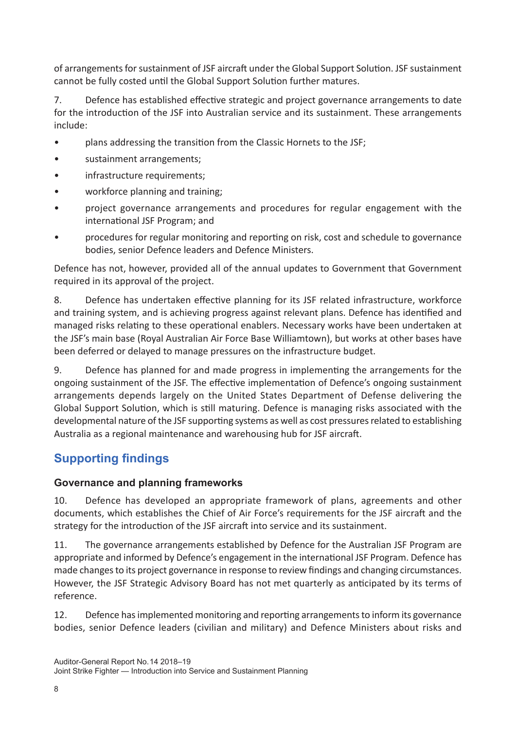of arrangements for sustainment of JSF aircraft under the Global Support Solution. JSF sustainment cannot be fully costed until the Global Support Solution further matures.

7. Defence has established effective strategic and project governance arrangements to date for the introduction of the JSF into Australian service and its sustainment. These arrangements include:

- plans addressing the transition from the Classic Hornets to the JSF;
- sustainment arrangements;
- infrastructure requirements;
- workforce planning and training;
- project governance arrangements and procedures for regular engagement with the international JSF Program; and
- procedures for regular monitoring and reporting on risk, cost and schedule to governance bodies, senior Defence leaders and Defence Ministers.

Defence has not, however, provided all of the annual updates to Government that Government required in its approval of the project.

8. Defence has undertaken effective planning for its JSF related infrastructure, workforce and training system, and is achieving progress against relevant plans. Defence has identified and managed risks relating to these operational enablers. Necessary works have been undertaken at the JSF's main base (Royal Australian Air Force Base Williamtown), but works at other bases have been deferred or delayed to manage pressures on the infrastructure budget.

9. Defence has planned for and made progress in implementing the arrangements for the ongoing sustainment of the JSF. The effective implementation of Defence's ongoing sustainment arrangements depends largely on the United States Department of Defense delivering the Global Support Solution, which is still maturing. Defence is managing risks associated with the developmental nature of the JSF supporting systems as well as cost pressures related to establishing Australia as a regional maintenance and warehousing hub for JSF aircraft.

## **Supporting findings**

## **Governance and planning frameworks**

10. Defence has developed an appropriate framework of plans, agreements and other documents, which establishes the Chief of Air Force's requirements for the JSF aircraft and the strategy for the introduction of the JSF aircraft into service and its sustainment.

11. The governance arrangements established by Defence for the Australian JSF Program are appropriate and informed by Defence's engagement in the international JSF Program. Defence has made changes to its project governance in response to review findings and changing circumstances. However, the JSF Strategic Advisory Board has not met quarterly as anticipated by its terms of reference.

12. Defence has implemented monitoring and reporting arrangements to inform its governance bodies, senior Defence leaders (civilian and military) and Defence Ministers about risks and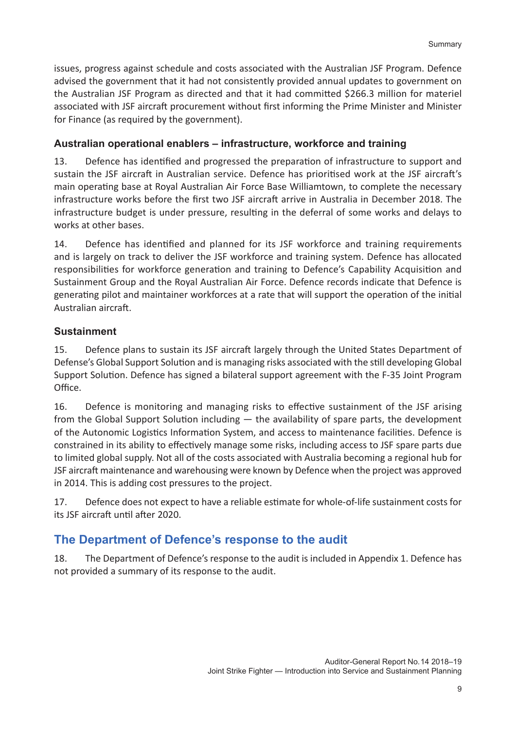issues, progress against schedule and costs associated with the Australian JSF Program. Defence advised the government that it had not consistently provided annual updates to government on the Australian JSF Program as directed and that it had committed \$266.3 million for materiel associated with JSF aircraft procurement without first informing the Prime Minister and Minister for Finance (as required by the government).

## **Australian operational enablers – infrastructure, workforce and training**

13. Defence has identified and progressed the preparation of infrastructure to support and sustain the JSF aircraft in Australian service. Defence has prioritised work at the JSF aircraft's main operating base at Royal Australian Air Force Base Williamtown, to complete the necessary infrastructure works before the first two JSF aircraft arrive in Australia in December 2018. The infrastructure budget is under pressure, resulting in the deferral of some works and delays to works at other bases.

14. Defence has identified and planned for its JSF workforce and training requirements and is largely on track to deliver the JSF workforce and training system. Defence has allocated responsibilities for workforce generation and training to Defence's Capability Acquisition and Sustainment Group and the Royal Australian Air Force. Defence records indicate that Defence is generating pilot and maintainer workforces at a rate that will support the operation of the initial Australian aircraft.

## **Sustainment**

15. Defence plans to sustain its JSF aircraft largely through the United States Department of Defense's Global Support Solution and is managing risks associated with the still developing Global Support Solution. Defence has signed a bilateral support agreement with the F-35 Joint Program Office.

16. Defence is monitoring and managing risks to effective sustainment of the JSF arising from the Global Support Solution including  $-$  the availability of spare parts, the development of the Autonomic Logistics Information System, and access to maintenance facilities. Defence is constrained in its ability to effectively manage some risks, including access to JSF spare parts due to limited global supply. Not all of the costs associated with Australia becoming a regional hub for JSF aircraft maintenance and warehousing were known by Defence when the project was approved in 2014. This is adding cost pressures to the project.

17. Defence does not expect to have a reliable estimate for whole-of-life sustainment costs for its JSF aircraft until after 2020.

## **The Department of Defence's response to the audit**

18. The Department of Defence's response to the audit is included in Appendix 1. Defence has not provided a summary of its response to the audit.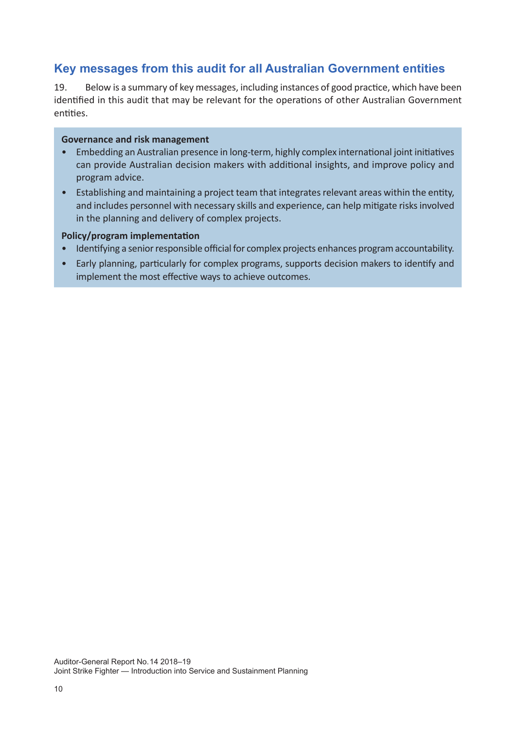## **Key messages from this audit for all Australian Government entities**

19. Below is a summary of key messages, including instances of good practice, which have been identified in this audit that may be relevant for the operations of other Australian Government entities.

#### **Governance and risk management**

- Embedding an Australian presence in long-term, highly complex international joint initiatives can provide Australian decision makers with additional insights, and improve policy and program advice.
- Establishing and maintaining a project team that integrates relevant areas within the entity, and includes personnel with necessary skills and experience, can help mitigate risks involved in the planning and delivery of complex projects.

#### **Policy/program implementation**

- Identifying a senior responsible official for complex projects enhances program accountability.
- Early planning, particularly for complex programs, supports decision makers to identify and implement the most effective ways to achieve outcomes.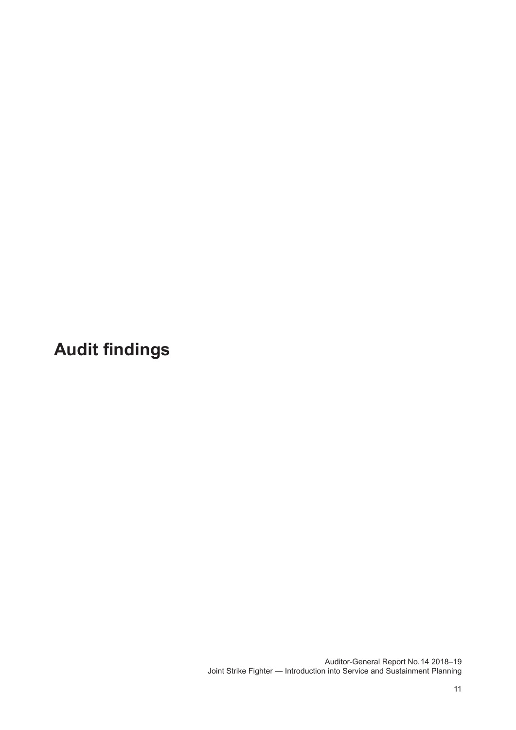**Audit findings**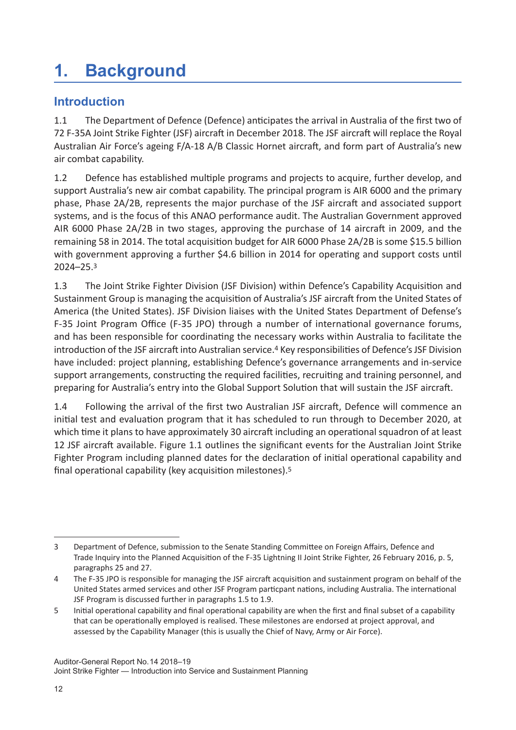# **1. Background**

## **Introduction**

1.1 The Department of Defence (Defence) anticipates the arrival in Australia of the first two of 72 F-35A Joint Strike Fighter (JSF) aircraft in December 2018. The JSF aircraft will replace the Royal Australian Air Force's ageing F/A-18 A/B Classic Hornet aircraft, and form part of Australia's new air combat capability.

1.2 Defence has established multiple programs and projects to acquire, further develop, and support Australia's new air combat capability. The principal program is AIR 6000 and the primary phase, Phase 2A/2B, represents the major purchase of the JSF aircraft and associated support systems, and is the focus of this ANAO performance audit. The Australian Government approved AIR 6000 Phase 2A/2B in two stages, approving the purchase of 14 aircraft in 2009, and the remaining 58 in 2014. The total acquisition budget for AIR 6000 Phase 2A/2B is some \$15.5 billion with government approving a further \$4.6 billion in 2014 for operating and support costs until 2024–25.3

1.3 The Joint Strike Fighter Division (JSF Division) within Defence's Capability Acquisition and Sustainment Group is managing the acquisition of Australia's JSF aircraft from the United States of America (the United States). JSF Division liaises with the United States Department of Defense's F-35 Joint Program Office (F-35 JPO) through a number of international governance forums, and has been responsible for coordinating the necessary works within Australia to facilitate the introduction of the JSF aircraft into Australian service.<sup>4</sup> Key responsibilities of Defence's JSF Division have included: project planning, establishing Defence's governance arrangements and in-service support arrangements, constructing the required facilities, recruiting and training personnel, and preparing for Australia's entry into the Global Support Solution that will sustain the JSF aircraft.

1.4 Following the arrival of the first two Australian JSF aircraft, Defence will commence an initial test and evaluation program that it has scheduled to run through to December 2020, at which time it plans to have approximately 30 aircraft including an operational squadron of at least 12 JSF aircraft available. Figure 1.1 outlines the significant events for the Australian Joint Strike Fighter Program including planned dates for the declaration of initial operational capability and final operational capability (key acquisition milestones).<sup>5</sup>

<sup>3</sup> Department of Defence, submission to the Senate Standing Committee on Foreign Affairs, Defence and Trade Inquiry into the Planned Acquisition of the F-35 Lightning II Joint Strike Fighter, 26 February 2016, p. 5, paragraphs 25 and 27.

<sup>4</sup> The F-35 JPO is responsible for managing the JSF aircraft acquisition and sustainment program on behalf of the United States armed services and other JSF Program particpant nations, including Australia. The international JSF Program is discussed further in paragraphs 1.5 to 1.9.

<sup>5</sup> Initial operational capability and final operational capability are when the first and final subset of a capability that can be operationally employed is realised. These milestones are endorsed at project approval, and assessed by the Capability Manager (this is usually the Chief of Navy, Army or Air Force).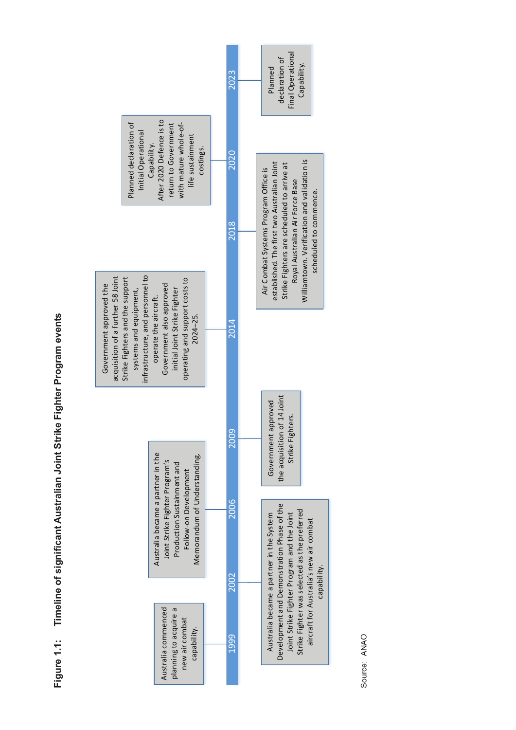



Source: ANAO Source: ANAO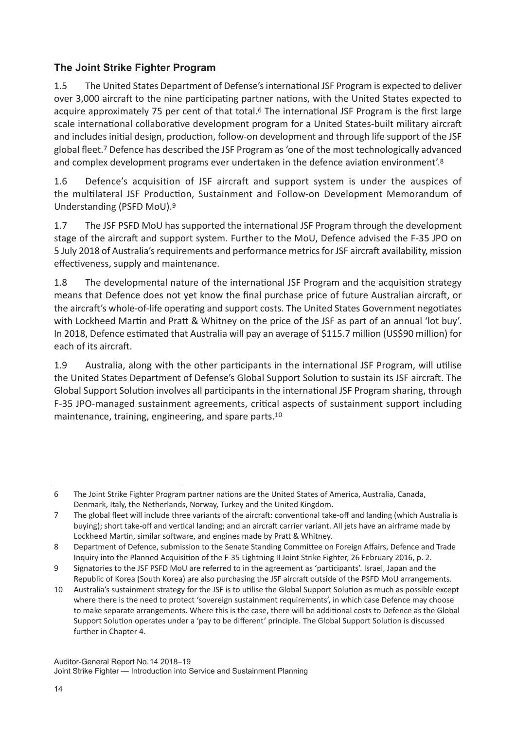## **The Joint Strike Fighter Program**

1.5 The United States Department of Defense's international JSF Program is expected to deliver over 3,000 aircraft to the nine participating partner nations, with the United States expected to acquire approximately 75 per cent of that total.<sup>6</sup> The international JSF Program is the first large scale international collaborative development program for a United States-built military aircraft and includes initial design, production, follow-on development and through life support of the JSF global fleet.7 Defence has described the JSF Program as 'one of the most technologically advanced and complex development programs ever undertaken in the defence aviation environment'.8

1.6 Defence's acquisition of JSF aircraft and support system is under the auspices of the multilateral JSF Production, Sustainment and Follow-on Development Memorandum of Understanding (PSFD MoU).9

1.7 The JSF PSFD MoU has supported the international JSF Program through the development stage of the aircraft and support system. Further to the MoU, Defence advised the F-35 JPO on 5 July 2018 of Australia's requirements and performance metrics for JSF aircraft availability, mission effectiveness, supply and maintenance.

1.8 The developmental nature of the international JSF Program and the acquisition strategy means that Defence does not yet know the final purchase price of future Australian aircraft, or the aircraft's whole-of-life operating and support costs. The United States Government negotiates with Lockheed Martin and Pratt & Whitney on the price of the JSF as part of an annual 'lot buy'. In 2018, Defence estimated that Australia will pay an average of \$115.7 million (US\$90 million) for each of its aircraft.

1.9 Australia, along with the other participants in the international JSF Program, will utilise the United States Department of Defense's Global Support Solution to sustain its JSF aircraft. The Global Support Solution involves all participants in the international JSF Program sharing, through F-35 JPO-managed sustainment agreements, critical aspects of sustainment support including maintenance, training, engineering, and spare parts.<sup>10</sup>

<sup>6</sup> The Joint Strike Fighter Program partner nations are the United States of America, Australia, Canada, Denmark, Italy, the Netherlands, Norway, Turkey and the United Kingdom.

<sup>7</sup> The global fleet will include three variants of the aircraft: conventional take-off and landing (which Australia is buying); short take-off and vertical landing; and an aircraft carrier variant. All jets have an airframe made by Lockheed Martin, similar software, and engines made by Pratt & Whitney.

<sup>8</sup> Department of Defence, submission to the Senate Standing Committee on Foreign Affairs, Defence and Trade Inquiry into the Planned Acquisition of the F-35 Lightning II Joint Strike Fighter, 26 February 2016, p. 2.

<sup>9</sup> Signatories to the JSF PSFD MoU are referred to in the agreement as 'participants'. Israel, Japan and the Republic of Korea (South Korea) are also purchasing the JSF aircraft outside of the PSFD MoU arrangements.

<sup>10</sup> Australia's sustainment strategy for the JSF is to utilise the Global Support Solution as much as possible except where there is the need to protect 'sovereign sustainment requirements', in which case Defence may choose to make separate arrangements. Where this is the case, there will be additional costs to Defence as the Global Support Solution operates under a 'pay to be different' principle. The Global Support Solution is discussed further in Chapter 4.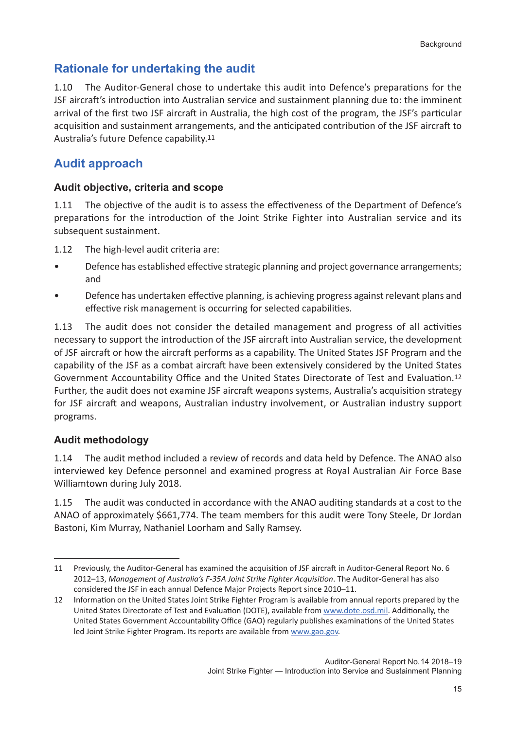## **Rationale for undertaking the audit**

1.10 The Auditor-General chose to undertake this audit into Defence's preparations for the JSF aircraft's introduction into Australian service and sustainment planning due to: the imminent arrival of the first two JSF aircraft in Australia, the high cost of the program, the JSF's particular acquisition and sustainment arrangements, and the anticipated contribution of the JSF aircraft to Australia's future Defence capability.11

## **Audit approach**

## **Audit objective, criteria and scope**

1.11 The objective of the audit is to assess the effectiveness of the Department of Defence's preparations for the introduction of the Joint Strike Fighter into Australian service and its subsequent sustainment.

1.12 The high-level audit criteria are:

- Defence has established effective strategic planning and project governance arrangements; and
- Defence has undertaken effective planning, is achieving progress against relevant plans and effective risk management is occurring for selected capabilities.

1.13 The audit does not consider the detailed management and progress of all activities necessary to support the introduction of the JSF aircraft into Australian service, the development of JSF aircraft or how the aircraft performs as a capability. The United States JSF Program and the capability of the JSF as a combat aircraft have been extensively considered by the United States Government Accountability Office and the United States Directorate of Test and Evaluation.<sup>12</sup> Further, the audit does not examine JSF aircraft weapons systems, Australia's acquisition strategy for JSF aircraft and weapons, Australian industry involvement, or Australian industry support programs.

## **Audit methodology**

1.14 The audit method included a review of records and data held by Defence. The ANAO also interviewed key Defence personnel and examined progress at Royal Australian Air Force Base Williamtown during July 2018.

1.15 The audit was conducted in accordance with the ANAO auditing standards at a cost to the ANAO of approximately \$661,774. The team members for this audit were Tony Steele, Dr Jordan Bastoni, Kim Murray, Nathaniel Loorham and Sally Ramsey.

<sup>11</sup> Previously, the Auditor-General has examined the acquisition of JSF aircraft in Auditor-General Report No. 6 2012–13, *Management of Australia's F-35A Joint Strike Fighter Acquisition*. The Auditor-General has also considered the JSF in each annual Defence Major Projects Report since 2010–11.

<sup>12</sup> Information on the United States Joint Strike Fighter Program is available from annual reports prepared by the United States Directorate of Test and Evaluation (DOTE), available from www.dote.osd.mil. Additionally, the United States Government Accountability Office (GAO) regularly publishes examinations of the United States led Joint Strike Fighter Program. Its reports are available from www.gao.gov.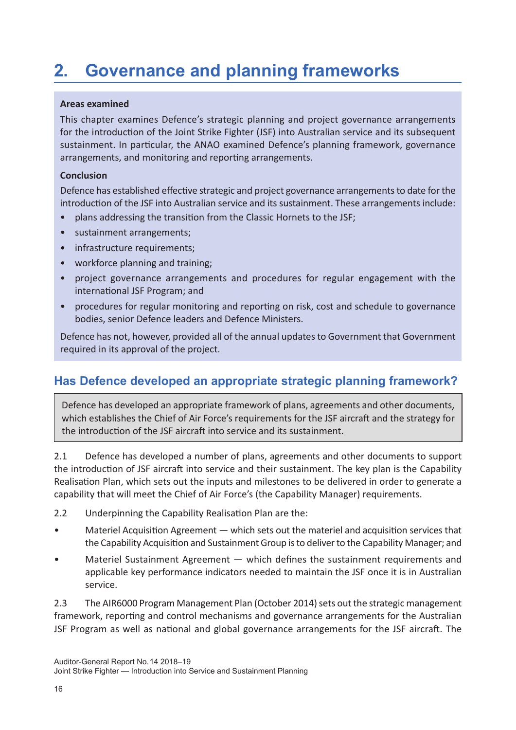# **2. Governance and planning frameworks**

#### **Areas examined**

This chapter examines Defence's strategic planning and project governance arrangements for the introduction of the Joint Strike Fighter (JSF) into Australian service and its subsequent sustainment. In particular, the ANAO examined Defence's planning framework, governance arrangements, and monitoring and reporting arrangements.

#### **Conclusion**

Defence has established effective strategic and project governance arrangements to date for the introduction of the JSF into Australian service and its sustainment. These arrangements include:

- plans addressing the transition from the Classic Hornets to the JSF;
- sustainment arrangements;
- infrastructure requirements;
- workforce planning and training;
- project governance arrangements and procedures for regular engagement with the international JSF Program; and
- procedures for regular monitoring and reporting on risk, cost and schedule to governance bodies, senior Defence leaders and Defence Ministers.

Defence has not, however, provided all of the annual updates to Government that Government required in its approval of the project.

## **Has Defence developed an appropriate strategic planning framework?**

Defence has developed an appropriate framework of plans, agreements and other documents, which establishes the Chief of Air Force's requirements for the JSF aircraft and the strategy for the introduction of the JSF aircraft into service and its sustainment.

2.1 Defence has developed a number of plans, agreements and other documents to support the introduction of JSF aircraft into service and their sustainment. The key plan is the Capability Realisation Plan, which sets out the inputs and milestones to be delivered in order to generate a capability that will meet the Chief of Air Force's (the Capability Manager) requirements.

- 2.2 Underpinning the Capability Realisation Plan are the:
- Materiel Acquisition Agreement which sets out the materiel and acquisition services that the Capability Acquisition and Sustainment Group is to deliver to the Capability Manager; and
- Materiel Sustainment Agreement which defines the sustainment requirements and applicable key performance indicators needed to maintain the JSF once it is in Australian service.

2.3 The AIR6000 Program Management Plan (October 2014) sets out the strategic management framework, reporting and control mechanisms and governance arrangements for the Australian JSF Program as well as national and global governance arrangements for the JSF aircraft. The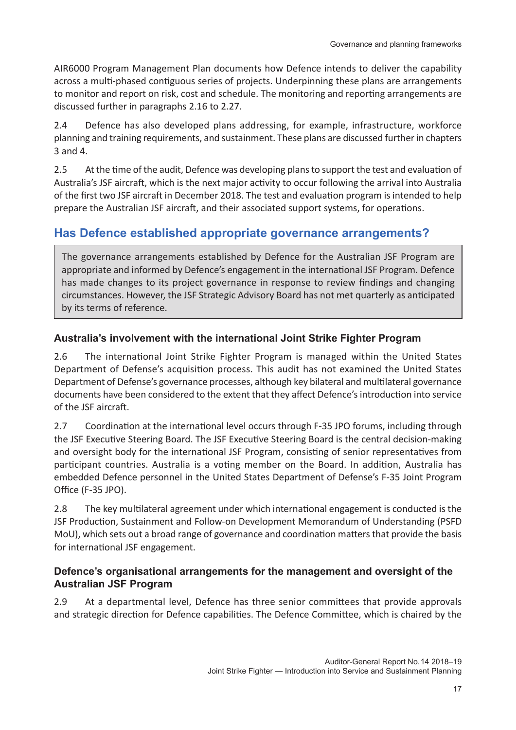AIR6000 Program Management Plan documents how Defence intends to deliver the capability across a multi-phased contiguous series of projects. Underpinning these plans are arrangements to monitor and report on risk, cost and schedule. The monitoring and reporting arrangements are discussed further in paragraphs 2.16 to 2.27.

2.4 Defence has also developed plans addressing, for example, infrastructure, workforce planning and training requirements, and sustainment. These plans are discussed further in chapters 3 and 4.

2.5 At the time of the audit, Defence was developing plans to support the test and evaluation of Australia's JSF aircraft, which is the next major activity to occur following the arrival into Australia of the first two JSF aircraft in December 2018. The test and evaluation program is intended to help prepare the Australian JSF aircraft, and their associated support systems, for operations.

## **Has Defence established appropriate governance arrangements?**

The governance arrangements established by Defence for the Australian JSF Program are appropriate and informed by Defence's engagement in the international JSF Program. Defence has made changes to its project governance in response to review findings and changing circumstances. However, the JSF Strategic Advisory Board has not met quarterly as anticipated by its terms of reference.

## **Australia's involvement with the international Joint Strike Fighter Program**

2.6 The international Joint Strike Fighter Program is managed within the United States Department of Defense's acquisition process. This audit has not examined the United States Department of Defense's governance processes, although key bilateral and multilateral governance documents have been considered to the extent that they affect Defence's introduction into service of the JSF aircraft.

2.7 Coordination at the international level occurs through F-35 JPO forums, including through the JSF Executive Steering Board. The JSF Executive Steering Board is the central decision-making and oversight body for the international JSF Program, consisting of senior representatives from participant countries. Australia is a voting member on the Board. In addition, Australia has embedded Defence personnel in the United States Department of Defense's F-35 Joint Program Office (F-35 JPO).

2.8 The key multilateral agreement under which international engagement is conducted is the JSF Production, Sustainment and Follow-on Development Memorandum of Understanding (PSFD MoU), which sets out a broad range of governance and coordination matters that provide the basis for international JSF engagement.

## **Defence's organisational arrangements for the management and oversight of the Australian JSF Program**

2.9 At a departmental level, Defence has three senior committees that provide approvals and strategic direction for Defence capabilities. The Defence Committee, which is chaired by the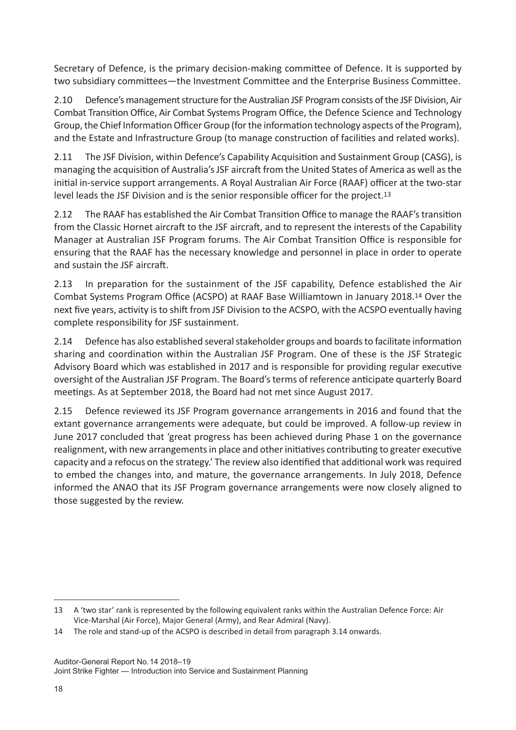Secretary of Defence, is the primary decision-making committee of Defence. It is supported by two subsidiary committees—the Investment Committee and the Enterprise Business Committee.

2.10 Defence's management structure for the Australian JSF Program consists of the JSF Division, Air Combat Transition Office, Air Combat Systems Program Office, the Defence Science and Technology Group, the Chief Information Officer Group (for the information technology aspects of the Program), and the Estate and Infrastructure Group (to manage construction of facilities and related works).

2.11 The JSF Division, within Defence's Capability Acquisition and Sustainment Group (CASG), is managing the acquisition of Australia's JSF aircraft from the United States of America as well as the initial in-service support arrangements. A Royal Australian Air Force (RAAF) officer at the two-star level leads the JSF Division and is the senior responsible officer for the project.13

2.12 The RAAF has established the Air Combat Transition Office to manage the RAAF's transition from the Classic Hornet aircraft to the JSF aircraft, and to represent the interests of the Capability Manager at Australian JSF Program forums. The Air Combat Transition Office is responsible for ensuring that the RAAF has the necessary knowledge and personnel in place in order to operate and sustain the JSF aircraft.

2.13 In preparation for the sustainment of the JSF capability, Defence established the Air Combat Systems Program Office (ACSPO) at RAAF Base Williamtown in January 2018.14 Over the next five years, activity is to shift from JSF Division to the ACSPO, with the ACSPO eventually having complete responsibility for JSF sustainment.

2.14 Defence has also established several stakeholder groups and boards to facilitate information sharing and coordination within the Australian JSF Program. One of these is the JSF Strategic Advisory Board which was established in 2017 and is responsible for providing regular executive oversight of the Australian JSF Program. The Board's terms of reference anticipate quarterly Board meetings. As at September 2018, the Board had not met since August 2017.

2.15 Defence reviewed its JSF Program governance arrangements in 2016 and found that the extant governance arrangements were adequate, but could be improved. A follow-up review in June 2017 concluded that 'great progress has been achieved during Phase 1 on the governance realignment, with new arrangements in place and other initiatives contributing to greater executive capacity and a refocus on the strategy.' The review also identified that additional work was required to embed the changes into, and mature, the governance arrangements. In July 2018, Defence informed the ANAO that its JSF Program governance arrangements were now closely aligned to those suggested by the review.

<sup>13</sup> A 'two star' rank is represented by the following equivalent ranks within the Australian Defence Force: Air Vice-Marshal (Air Force), Major General (Army), and Rear Admiral (Navy).

<sup>14</sup> The role and stand-up of the ACSPO is described in detail from paragraph 3.14 onwards.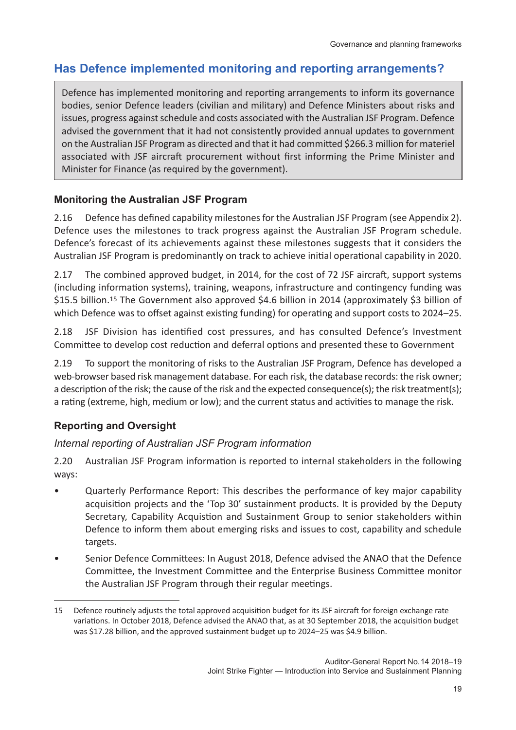## **Has Defence implemented monitoring and reporting arrangements?**

Defence has implemented monitoring and reporting arrangements to inform its governance bodies, senior Defence leaders (civilian and military) and Defence Ministers about risks and issues, progress against schedule and costs associated with the Australian JSF Program. Defence advised the government that it had not consistently provided annual updates to government on the Australian JSF Program as directed and that it had committed \$266.3 million for materiel associated with JSF aircraft procurement without first informing the Prime Minister and Minister for Finance (as required by the government).

## **Monitoring the Australian JSF Program**

2.16 Defence has defined capability milestones for the Australian JSF Program (see Appendix 2). Defence uses the milestones to track progress against the Australian JSF Program schedule. Defence's forecast of its achievements against these milestones suggests that it considers the Australian JSF Program is predominantly on track to achieve initial operational capability in 2020.

2.17 The combined approved budget, in 2014, for the cost of 72 JSF aircraft, support systems (including information systems), training, weapons, infrastructure and contingency funding was \$15.5 billion.15 The Government also approved \$4.6 billion in 2014 (approximately \$3 billion of which Defence was to offset against existing funding) for operating and support costs to 2024–25.

2.18 JSF Division has identified cost pressures, and has consulted Defence's Investment Committee to develop cost reduction and deferral options and presented these to Government

2.19 To support the monitoring of risks to the Australian JSF Program, Defence has developed a web-browser based risk management database. For each risk, the database records: the risk owner; a description of the risk; the cause of the risk and the expected consequence(s); the risk treatment(s); a rating (extreme, high, medium or low); and the current status and activities to manage the risk.

## **Reporting and Oversight**

## *Internal reporting of Australian JSF Program information*

2.20 Australian JSF Program information is reported to internal stakeholders in the following ways:

- Quarterly Performance Report: This describes the performance of key major capability acquisition projects and the 'Top 30' sustainment products. It is provided by the Deputy Secretary, Capability Acquistion and Sustainment Group to senior stakeholders within Defence to inform them about emerging risks and issues to cost, capability and schedule targets.
- Senior Defence Committees: In August 2018, Defence advised the ANAO that the Defence Committee, the Investment Committee and the Enterprise Business Committee monitor the Australian JSF Program through their regular meetings.

<sup>15</sup> Defence routinely adjusts the total approved acquisition budget for its JSF aircraft for foreign exchange rate variations. In October 2018, Defence advised the ANAO that, as at 30 September 2018, the acquisition budget was \$17.28 billion, and the approved sustainment budget up to 2024–25 was \$4.9 billion.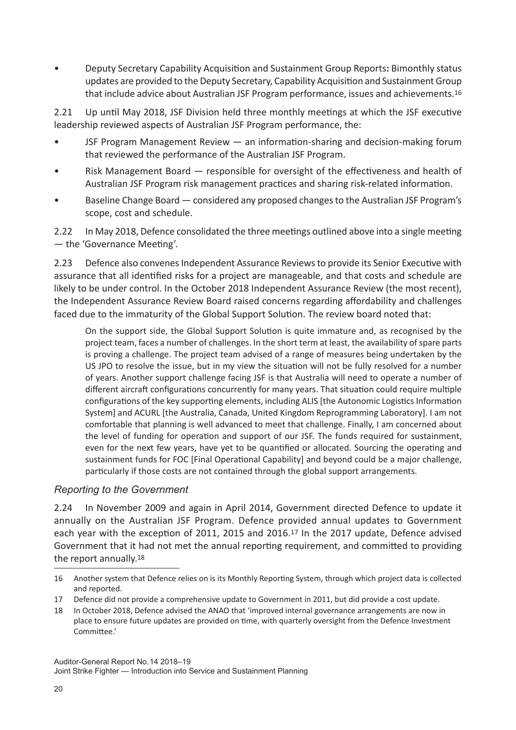• Deputy Secretary Capability Acquisition and Sustainment Group Reports**:** Bimonthly status updates are provided to the Deputy Secretary, Capability Acquisition and Sustainment Group that include advice about Australian JSF Program performance, issues and achievements.16

2.21 Up until May 2018, JSF Division held three monthly meetings at which the JSF executive leadership reviewed aspects of Australian JSF Program performance, the:

- JSF Program Management Review an information-sharing and decision-making forum that reviewed the performance of the Australian JSF Program.
- Risk Management Board responsible for oversight of the effectiveness and health of Australian JSF Program risk management practices and sharing risk-related information.
- Baseline Change Board considered any proposed changes to the Australian JSF Program's scope, cost and schedule.

2.22 In May 2018, Defence consolidated the three meetings outlined above into a single meeting — the 'Governance Meeting'.

2.23 Defence also convenes Independent Assurance Reviews to provide its Senior Executive with assurance that all identified risks for a project are manageable, and that costs and schedule are likely to be under control. In the October 2018 Independent Assurance Review (the most recent), the Independent Assurance Review Board raised concerns regarding affordability and challenges faced due to the immaturity of the Global Support Solution. The review board noted that:

On the support side, the Global Support Solution is quite immature and, as recognised by the project team, faces a number of challenges. In the short term at least, the availability of spare parts is proving a challenge. The project team advised of a range of measures being undertaken by the US JPO to resolve the issue, but in my view the situation will not be fully resolved for a number of years. Another support challenge facing JSF is that Australia will need to operate a number of different aircraft configurations concurrently for many years. That situation could require multiple configurations of the key supporting elements, including ALIS [the Autonomic Logistics Information System] and ACURL [the Australia, Canada, United Kingdom Reprogramming Laboratory]. I am not comfortable that planning is well advanced to meet that challenge. Finally, I am concerned about the level of funding for operation and support of our JSF. The funds required for sustainment, even for the next few years, have yet to be quantified or allocated. Sourcing the operating and sustainment funds for FOC [Final Operational Capability] and beyond could be a major challenge, particularly if those costs are not contained through the global support arrangements.

## *Reporting to the Government*

2.24 In November 2009 and again in April 2014, Government directed Defence to update it annually on the Australian JSF Program. Defence provided annual updates to Government each year with the exception of 2011, 2015 and 2016.17 In the 2017 update, Defence advised Government that it had not met the annual reporting requirement, and committed to providing the report annually.<sup>18</sup>

<sup>16</sup> Another system that Defence relies on is its Monthly Reporting System, through which project data is collected and reported.

<sup>17</sup> Defence did not provide a comprehensive update to Government in 2011, but did provide a cost update.

<sup>18</sup> In October 2018, Defence advised the ANAO that 'improved internal governance arrangements are now in place to ensure future updates are provided on time, with quarterly oversight from the Defence Investment Committee.'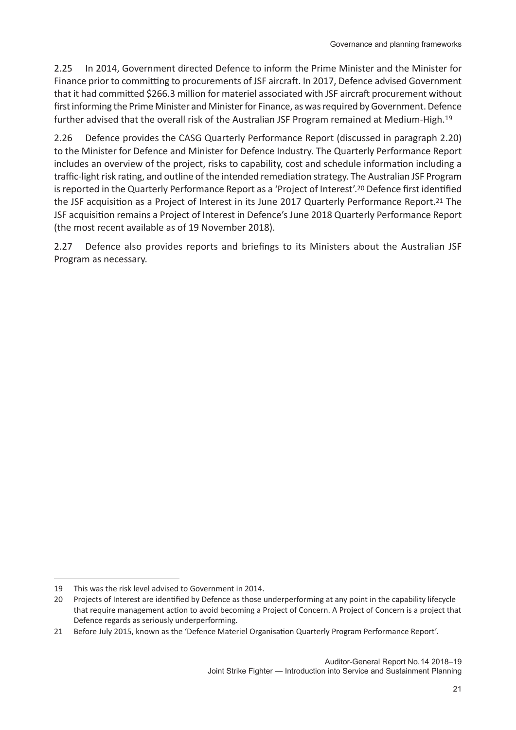2.25 In 2014, Government directed Defence to inform the Prime Minister and the Minister for Finance prior to committing to procurements of JSF aircraft. In 2017, Defence advised Government that it had committed \$266.3 million for materiel associated with JSF aircraft procurement without first informing the Prime Minister and Minister for Finance, as was required by Government. Defence further advised that the overall risk of the Australian JSF Program remained at Medium-High.19

2.26 Defence provides the CASG Quarterly Performance Report (discussed in paragraph 2.20) to the Minister for Defence and Minister for Defence Industry. The Quarterly Performance Report includes an overview of the project, risks to capability, cost and schedule information including a traffic-light risk rating, and outline of the intended remediation strategy. The Australian JSF Program is reported in the Quarterly Performance Report as a 'Project of Interest'.20 Defence first identified the JSF acquisition as a Project of Interest in its June 2017 Quarterly Performance Report.21 The JSF acquisition remains a Project of Interest in Defence's June 2018 Quarterly Performance Report (the most recent available as of 19 November 2018).

2.27 Defence also provides reports and briefings to its Ministers about the Australian JSF Program as necessary.

<sup>19</sup> This was the risk level advised to Government in 2014.

<sup>20</sup> Projects of Interest are identified by Defence as those underperforming at any point in the capability lifecycle that require management action to avoid becoming a Project of Concern. A Project of Concern is a project that Defence regards as seriously underperforming.

<sup>21</sup> Before July 2015, known as the 'Defence Materiel Organisation Quarterly Program Performance Report'.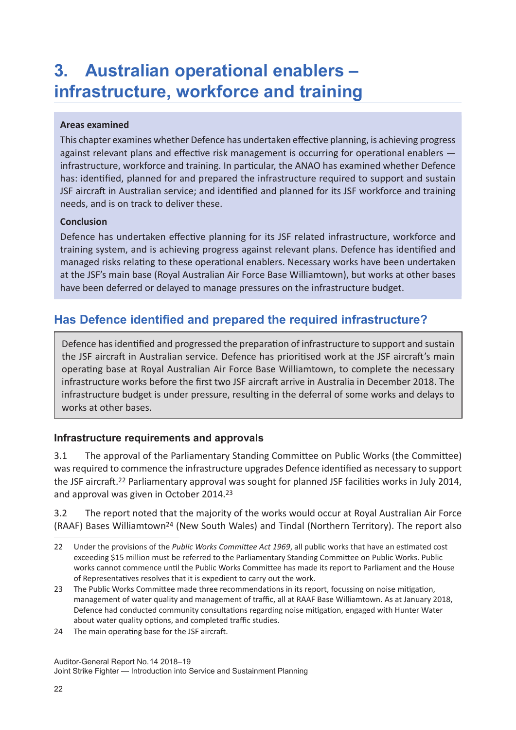## **3. Australian operational enablers – infrastructure, workforce and training**

#### **Areas examined**

This chapter examines whether Defence has undertaken effective planning, is achieving progress against relevant plans and effective risk management is occurring for operational enablers infrastructure, workforce and training. In particular, the ANAO has examined whether Defence has: identified, planned for and prepared the infrastructure required to support and sustain JSF aircraft in Australian service; and identified and planned for its JSF workforce and training needs, and is on track to deliver these.

#### **Conclusion**

Defence has undertaken effective planning for its JSF related infrastructure, workforce and training system, and is achieving progress against relevant plans. Defence has identified and managed risks relating to these operational enablers. Necessary works have been undertaken at the JSF's main base (Royal Australian Air Force Base Williamtown), but works at other bases have been deferred or delayed to manage pressures on the infrastructure budget.

## **Has Defence identified and prepared the required infrastructure?**

Defence has identified and progressed the preparation of infrastructure to support and sustain the JSF aircraft in Australian service. Defence has prioritised work at the JSF aircraft's main operating base at Royal Australian Air Force Base Williamtown, to complete the necessary infrastructure works before the first two JSF aircraft arrive in Australia in December 2018. The infrastructure budget is under pressure, resulting in the deferral of some works and delays to works at other bases.

## **Infrastructure requirements and approvals**

3.1 The approval of the Parliamentary Standing Committee on Public Works (the Committee) was required to commence the infrastructure upgrades Defence identified as necessary to support the JSF aircraft.22 Parliamentary approval was sought for planned JSF facilities works in July 2014, and approval was given in October 2014.<sup>23</sup>

3.2 The report noted that the majority of the works would occur at Royal Australian Air Force (RAAF) Bases Williamtown24 (New South Wales) and Tindal (Northern Territory). The report also

24 The main operating base for the JSF aircraft.

<sup>22</sup> Under the provisions of the *Public Works Committee Act 1969*, all public works that have an estimated cost exceeding \$15 million must be referred to the Parliamentary Standing Committee on Public Works. Public works cannot commence until the Public Works Committee has made its report to Parliament and the House of Representatives resolves that it is expedient to carry out the work.

<sup>23</sup> The Public Works Committee made three recommendations in its report, focussing on noise mitigation, management of water quality and management of traffic, all at RAAF Base Williamtown. As at January 2018, Defence had conducted community consultations regarding noise mitigation, engaged with Hunter Water about water quality options, and completed traffic studies.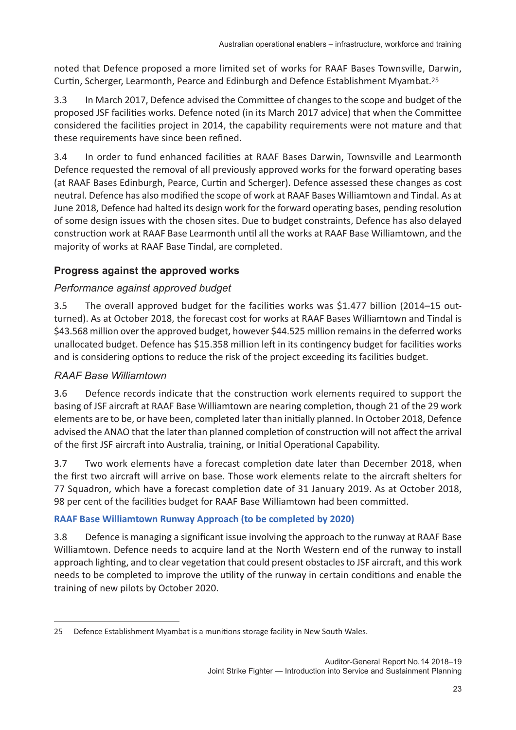noted that Defence proposed a more limited set of works for RAAF Bases Townsville, Darwin, Curtin, Scherger, Learmonth, Pearce and Edinburgh and Defence Establishment Myambat.25

3.3 In March 2017, Defence advised the Committee of changes to the scope and budget of the proposed JSF facilities works. Defence noted (in its March 2017 advice) that when the Committee considered the facilities project in 2014, the capability requirements were not mature and that these requirements have since been refined.

3.4 In order to fund enhanced facilities at RAAF Bases Darwin, Townsville and Learmonth Defence requested the removal of all previously approved works for the forward operating bases (at RAAF Bases Edinburgh, Pearce, Curtin and Scherger). Defence assessed these changes as cost neutral. Defence has also modified the scope of work at RAAF Bases Williamtown and Tindal. As at June 2018, Defence had halted its design work for the forward operating bases, pending resolution of some design issues with the chosen sites. Due to budget constraints, Defence has also delayed construction work at RAAF Base Learmonth until all the works at RAAF Base Williamtown, and the majority of works at RAAF Base Tindal, are completed.

## **Progress against the approved works**

## *Performance against approved budget*

3.5 The overall approved budget for the facilities works was \$1.477 billion (2014–15 outturned). As at October 2018, the forecast cost for works at RAAF Bases Williamtown and Tindal is \$43.568 million over the approved budget, however \$44.525 million remains in the deferred works unallocated budget. Defence has \$15.358 million left in its contingency budget for facilities works and is considering options to reduce the risk of the project exceeding its facilities budget.

## *RAAF Base Williamtown*

3.6 Defence records indicate that the construction work elements required to support the basing of JSF aircraft at RAAF Base Williamtown are nearing completion, though 21 of the 29 work elements are to be, or have been, completed later than initially planned. In October 2018, Defence advised the ANAO that the later than planned completion of construction will not affect the arrival of the first JSF aircraft into Australia, training, or Initial Operational Capability.

3.7 Two work elements have a forecast completion date later than December 2018, when the first two aircraft will arrive on base. Those work elements relate to the aircraft shelters for 77 Squadron, which have a forecast completion date of 31 January 2019. As at October 2018, 98 per cent of the facilities budget for RAAF Base Williamtown had been committed.

## **RAAF Base Williamtown Runway Approach (to be completed by 2020)**

3.8 Defence is managing a significant issue involving the approach to the runway at RAAF Base Williamtown. Defence needs to acquire land at the North Western end of the runway to install approach lighting, and to clear vegetation that could present obstacles to JSF aircraft, and this work needs to be completed to improve the utility of the runway in certain conditions and enable the training of new pilots by October 2020.

<sup>25</sup> Defence Establishment Myambat is a munitions storage facility in New South Wales.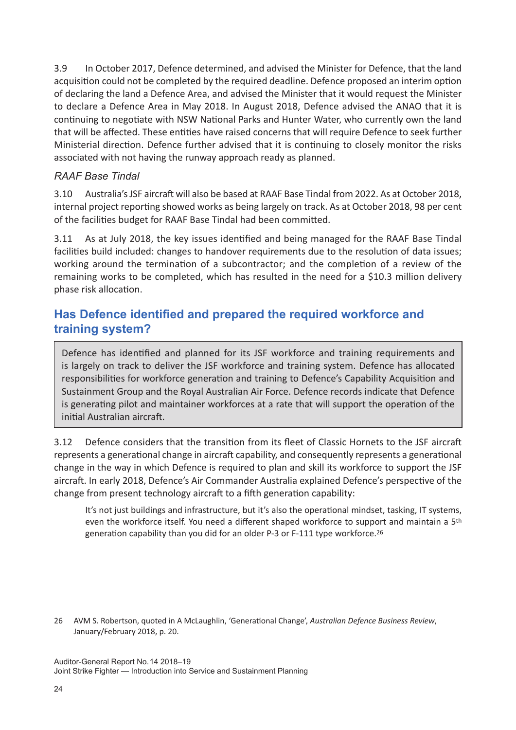3.9 In October 2017, Defence determined, and advised the Minister for Defence, that the land acquisition could not be completed by the required deadline. Defence proposed an interim option of declaring the land a Defence Area, and advised the Minister that it would request the Minister to declare a Defence Area in May 2018. In August 2018, Defence advised the ANAO that it is continuing to negotiate with NSW National Parks and Hunter Water, who currently own the land that will be affected. These entities have raised concerns that will require Defence to seek further Ministerial direction. Defence further advised that it is continuing to closely monitor the risks associated with not having the runway approach ready as planned.

## *RAAF Base Tindal*

3.10 Australia's JSF aircraft will also be based at RAAF Base Tindal from 2022. As at October 2018, internal project reporting showed works as being largely on track. As at October 2018, 98 per cent of the facilities budget for RAAF Base Tindal had been committed.

3.11 As at July 2018, the key issues identified and being managed for the RAAF Base Tindal facilities build included: changes to handover requirements due to the resolution of data issues; working around the termination of a subcontractor; and the completion of a review of the remaining works to be completed, which has resulted in the need for a \$10.3 million delivery phase risk allocation.

## **Has Defence identified and prepared the required workforce and training system?**

Defence has identified and planned for its JSF workforce and training requirements and is largely on track to deliver the JSF workforce and training system. Defence has allocated responsibilities for workforce generation and training to Defence's Capability Acquisition and Sustainment Group and the Royal Australian Air Force. Defence records indicate that Defence is generating pilot and maintainer workforces at a rate that will support the operation of the initial Australian aircraft.

3.12 Defence considers that the transition from its fleet of Classic Hornets to the JSF aircraft represents a generational change in aircraft capability, and consequently represents a generational change in the way in which Defence is required to plan and skill its workforce to support the JSF aircraft. In early 2018, Defence's Air Commander Australia explained Defence's perspective of the change from present technology aircraft to a fifth generation capability:

It's not just buildings and infrastructure, but it's also the operational mindset, tasking, IT systems, even the workforce itself. You need a different shaped workforce to support and maintain a 5th generation capability than you did for an older P-3 or F-111 type workforce.<sup>26</sup>

<sup>26</sup> AVM S. Robertson, quoted in A McLaughlin, 'Generational Change', *Australian Defence Business Review*, January/February 2018, p. 20.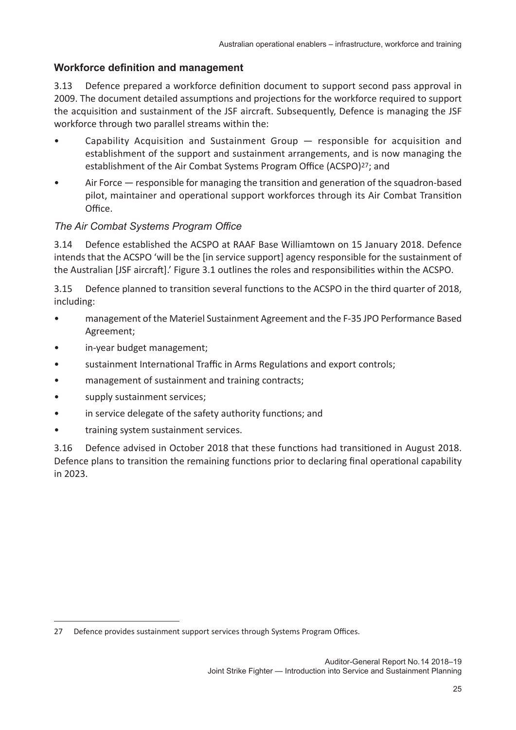#### **Workforce definition and management**

3.13 Defence prepared a workforce definition document to support second pass approval in 2009. The document detailed assumptions and projections for the workforce required to support the acquisition and sustainment of the JSF aircraft. Subsequently, Defence is managing the JSF workforce through two parallel streams within the:

- Capability Acquisition and Sustainment Group  $-$  responsible for acquisition and establishment of the support and sustainment arrangements, and is now managing the establishment of the Air Combat Systems Program Office (ACSPO)27; and
- Air Force responsible for managing the transition and generation of the squadron-based pilot, maintainer and operational support workforces through its Air Combat Transition Office.

#### *The Air Combat Systems Program Office*

3.14 Defence established the ACSPO at RAAF Base Williamtown on 15 January 2018. Defence intends that the ACSPO 'will be the [in service support] agency responsible for the sustainment of the Australian [JSF aircraft].' Figure 3.1 outlines the roles and responsibilities within the ACSPO.

3.15 Defence planned to transition several functions to the ACSPO in the third quarter of 2018, including:

- management of the Materiel Sustainment Agreement and the F-35 JPO Performance Based Agreement;
- in-year budget management;
- sustainment International Traffic in Arms Regulations and export controls;
- management of sustainment and training contracts;
- supply sustainment services;
- in service delegate of the safety authority functions; and
- training system sustainment services.

3.16 Defence advised in October 2018 that these functions had transitioned in August 2018. Defence plans to transition the remaining functions prior to declaring final operational capability in 2023.

<sup>27</sup> Defence provides sustainment support services through Systems Program Offices.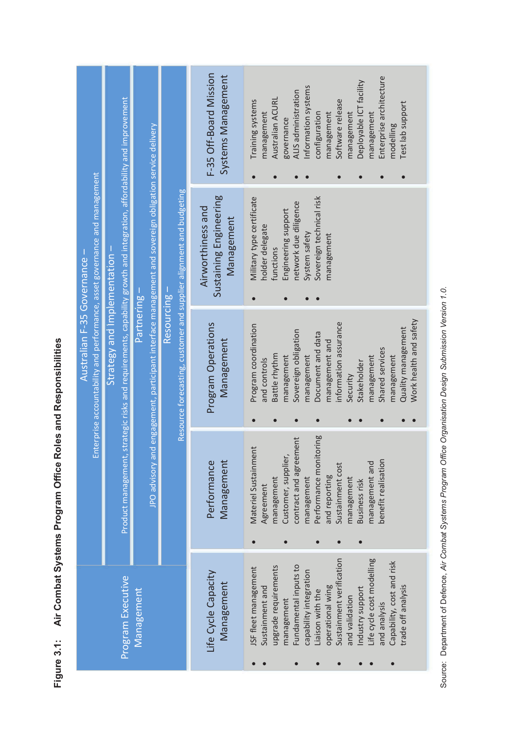|                                                                            |                                                                                                                        |                                                                                                         |                                                                     | F-35 Off-Board Mission<br>Systems Management              | Australian ACURL<br>Training systems<br>management              | Information systems<br>ALIS administration<br>governance                   | management<br>configuration             | Deployable ICT facility<br>Software release<br>management      | Enterprise architecture<br>management     | Test lab support<br>modelling                              |
|----------------------------------------------------------------------------|------------------------------------------------------------------------------------------------------------------------|---------------------------------------------------------------------------------------------------------|---------------------------------------------------------------------|-----------------------------------------------------------|-----------------------------------------------------------------|----------------------------------------------------------------------------|-----------------------------------------|----------------------------------------------------------------|-------------------------------------------|------------------------------------------------------------|
| Enterprise accountability and performance, asset governance and management | Product management, strategic risks and requirements, capability growth and integration, affordability and improvement | JPO advisory and engagement, participant interface management and sovereign obligation service delivery | Resource forecasting, customer and supplier alignment and budgeting | Sustaining Engineering<br>Airworthiness and<br>Management | Military type certificate<br>holder delegate<br>functions       | network due diligence<br>Engineering support<br>System safety<br>$\bullet$ | Sovereign technical risk<br>management  |                                                                |                                           |                                                            |
| Australian F-35 Governance -                                               | Strategy and Implementation -                                                                                          | Partnering-                                                                                             | Resourcing -                                                        | Program Operations<br>Management                          | Program coordination<br>Battle rhythm<br>and controls           | Sovereign obligation<br>management<br>management                           | Document and data<br>management and     | information assurance<br>Stakeholder<br>Security               | Shared services<br>management             | Work health and safety<br>Quality management<br>management |
|                                                                            |                                                                                                                        |                                                                                                         |                                                                     | Management<br>Performance                                 | Materiel Sustainment<br>management<br>Agreement                 | contract and agreement<br>Customer, supplier<br>management                 | Performance monitoring<br>and reporting | Sustainment cost<br>management<br>Business risk                | benefit realisation<br>management and     |                                                            |
| Program Executive<br>Management                                            |                                                                                                                        |                                                                                                         |                                                                     | Life Cycle Capacity<br>Management                         | upgrade requirements<br>JSF fleet management<br>Sustainment and | Fundamental inputs to<br>capability integration<br>management              | operational wing<br>Liaison with the    | Sustainment verification<br>Industry support<br>and validation | Life cycle cost modelling<br>and analysis | Capability, cost and risk<br>trade off analysis            |

Figure 3.1: Air Combat Systems Program Office Roles and Responsibilities **Figure 3.1: Air Combat Systems Program Office Roles and Responsibilities**

Source: Department of Defence, Air Combat Systems Program Office Organisation Design Submission Version 1.0. Source: Department of Defence, *Air Combat Systems Program Office Organisation Design Submission Version 1.0*.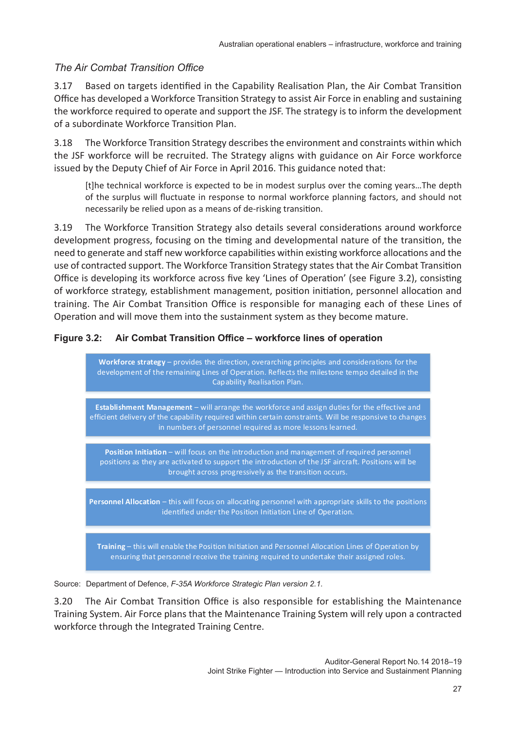## *The Air Combat Transition Office*

3.17 Based on targets identified in the Capability Realisation Plan, the Air Combat Transition Office has developed a Workforce Transition Strategy to assist Air Force in enabling and sustaining the workforce required to operate and support the JSF. The strategy is to inform the development of a subordinate Workforce Transition Plan.

3.18 The Workforce Transition Strategy describes the environment and constraints within which the JSF workforce will be recruited. The Strategy aligns with guidance on Air Force workforce issued by the Deputy Chief of Air Force in April 2016. This guidance noted that:

[t]he technical workforce is expected to be in modest surplus over the coming years…The depth of the surplus will fluctuate in response to normal workforce planning factors, and should not necessarily be relied upon as a means of de-risking transition.

3.19 The Workforce Transition Strategy also details several considerations around workforce development progress, focusing on the timing and developmental nature of the transition, the need to generate and staff new workforce capabilities within existing workforce allocations and the use of contracted support. The Workforce Transition Strategy states that the Air Combat Transition Office is developing its workforce across five key 'Lines of Operation' (see Figure 3.2), consisting of workforce strategy, establishment management, position initiation, personnel allocation and training. The Air Combat Transition Office is responsible for managing each of these Lines of Operation and will move them into the sustainment system as they become mature.

#### **Figure 3.2: Air Combat Transition Office – workforce lines of operation**

**Workforce strategy** – provides the direction, overarching principles and considerations for the development of the remaining Lines of Operation. Reflects the milestone tempo detailed in the Capability Realisation Plan.

**Establishment Management** – will arrange the workforce and assign duties for the effective and efficient delivery of the capability required within certain constraints. Will be responsive to changes in numbers of personnel required as more lessons learned.

**Position Initiation** – will focus on the introduction and management of required personnel positions as they are activated to support the introduction of the JSF aircraft. Positions will be brought across progressively as the transition occurs.

**Personnel Allocation** – this will focus on allocating personnel with appropriate skills to the positions identified under the Position Initiation Line of Operation.

**Training** – this will enable the Position Initiation and Personnel Allocation Lines of Operation by ensuring that personnel receive the training required to undertake their assigned roles.

Source: Department of Defence, *F-35A Workforce Strategic Plan version 2.1*.

3.20 The Air Combat Transition Office is also responsible for establishing the Maintenance Training System. Air Force plans that the Maintenance Training System will rely upon a contracted workforce through the Integrated Training Centre.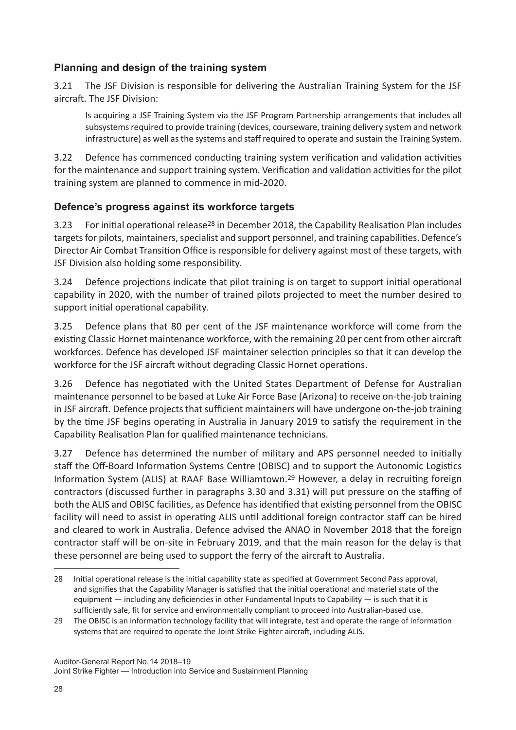## **Planning and design of the training system**

3.21 The JSF Division is responsible for delivering the Australian Training System for the JSF aircraft. The JSF Division:

Is acquiring a JSF Training System via the JSF Program Partnership arrangements that includes all subsystems required to provide training (devices, courseware, training delivery system and network infrastructure) as well as the systems and staff required to operate and sustain the Training System.

3.22 Defence has commenced conducting training system verification and validation activities for the maintenance and support training system. Verification and validation activities for the pilot training system are planned to commence in mid-2020.

## **Defence's progress against its workforce targets**

3.23 For initial operational release28 in December 2018, the Capability Realisation Plan includes targets for pilots, maintainers, specialist and support personnel, and training capabilities. Defence's Director Air Combat Transition Office is responsible for delivery against most of these targets, with JSF Division also holding some responsibility.

3.24 Defence projections indicate that pilot training is on target to support initial operational capability in 2020, with the number of trained pilots projected to meet the number desired to support initial operational capability.

3.25 Defence plans that 80 per cent of the JSF maintenance workforce will come from the existing Classic Hornet maintenance workforce, with the remaining 20 per cent from other aircraft workforces. Defence has developed JSF maintainer selection principles so that it can develop the workforce for the JSF aircraft without degrading Classic Hornet operations.

3.26 Defence has negotiated with the United States Department of Defense for Australian maintenance personnel to be based at Luke Air Force Base (Arizona) to receive on-the-job training in JSF aircraft. Defence projects that sufficient maintainers will have undergone on-the-job training by the time JSF begins operating in Australia in January 2019 to satisfy the requirement in the Capability Realisation Plan for qualified maintenance technicians.

3.27 Defence has determined the number of military and APS personnel needed to initially staff the Off-Board Information Systems Centre (OBISC) and to support the Autonomic Logistics Information System (ALIS) at RAAF Base Williamtown.29 However, a delay in recruiting foreign contractors (discussed further in paragraphs 3.30 and 3.31) will put pressure on the staffing of both the ALIS and OBISC facilities, as Defence has identified that existing personnel from the OBISC facility will need to assist in operating ALIS until additional foreign contractor staff can be hired and cleared to work in Australia. Defence advised the ANAO in November 2018 that the foreign contractor staff will be on-site in February 2019, and that the main reason for the delay is that these personnel are being used to support the ferry of the aircraft to Australia.

<sup>28</sup> Initial operational release is the initial capability state as specified at Government Second Pass approval, and signifies that the Capability Manager is satisfied that the initial operational and materiel state of the equipment — including any deficiencies in other Fundamental Inputs to Capability — is such that it is sufficiently safe, fit for service and environmentally compliant to proceed into Australian-based use.

<sup>29</sup> The OBISC is an information technology facility that will integrate, test and operate the range of information systems that are required to operate the Joint Strike Fighter aircraft, including ALIS.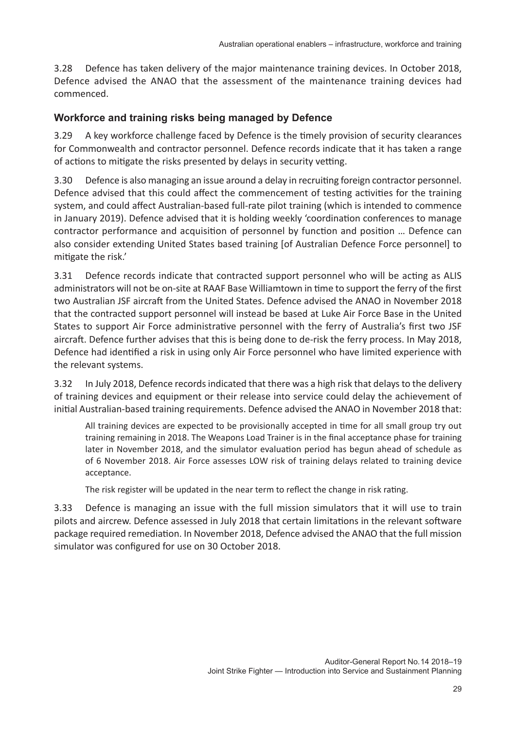3.28 Defence has taken delivery of the major maintenance training devices. In October 2018, Defence advised the ANAO that the assessment of the maintenance training devices had commenced.

## **Workforce and training risks being managed by Defence**

3.29 A key workforce challenge faced by Defence is the timely provision of security clearances for Commonwealth and contractor personnel. Defence records indicate that it has taken a range of actions to mitigate the risks presented by delays in security vetting.

3.30 Defence is also managing an issue around a delay in recruiting foreign contractor personnel. Defence advised that this could affect the commencement of testing activities for the training system, and could affect Australian-based full-rate pilot training (which is intended to commence in January 2019). Defence advised that it is holding weekly 'coordination conferences to manage contractor performance and acquisition of personnel by function and position … Defence can also consider extending United States based training [of Australian Defence Force personnel] to mitigate the risk.'

3.31 Defence records indicate that contracted support personnel who will be acting as ALIS administrators will not be on-site at RAAF Base Williamtown in time to support the ferry of the first two Australian JSF aircraft from the United States. Defence advised the ANAO in November 2018 that the contracted support personnel will instead be based at Luke Air Force Base in the United States to support Air Force administrative personnel with the ferry of Australia's first two JSF aircraft. Defence further advises that this is being done to de-risk the ferry process. In May 2018, Defence had identified a risk in using only Air Force personnel who have limited experience with the relevant systems.

3.32 In July 2018, Defence records indicated that there was a high risk that delays to the delivery of training devices and equipment or their release into service could delay the achievement of initial Australian-based training requirements. Defence advised the ANAO in November 2018 that:

All training devices are expected to be provisionally accepted in time for all small group try out training remaining in 2018. The Weapons Load Trainer is in the final acceptance phase for training later in November 2018, and the simulator evaluation period has begun ahead of schedule as of 6 November 2018. Air Force assesses LOW risk of training delays related to training device acceptance.

The risk register will be updated in the near term to reflect the change in risk rating.

3.33 Defence is managing an issue with the full mission simulators that it will use to train pilots and aircrew. Defence assessed in July 2018 that certain limitations in the relevant software package required remediation. In November 2018, Defence advised the ANAO that the full mission simulator was configured for use on 30 October 2018.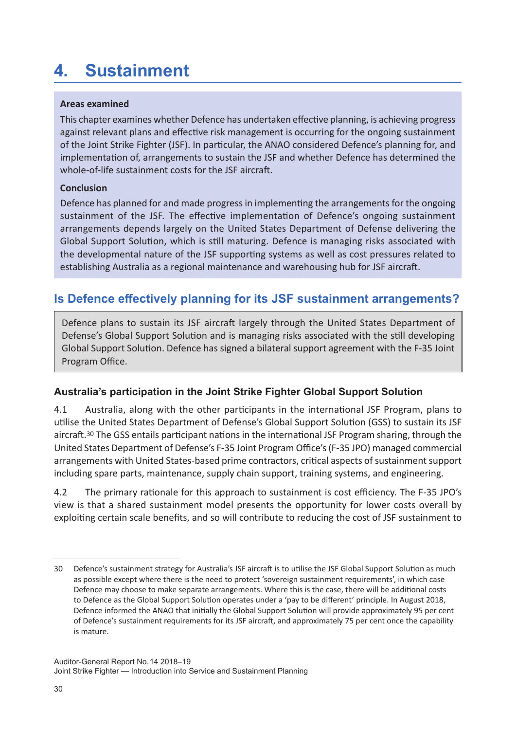## **4. Sustainment**

#### **Areas examined**

This chapter examines whether Defence has undertaken effective planning, is achieving progress against relevant plans and effective risk management is occurring for the ongoing sustainment of the Joint Strike Fighter (JSF). In particular, the ANAO considered Defence's planning for, and implementation of, arrangements to sustain the JSF and whether Defence has determined the whole-of-life sustainment costs for the JSF aircraft.

#### **Conclusion**

Defence has planned for and made progress in implementing the arrangements for the ongoing sustainment of the JSF. The effective implementation of Defence's ongoing sustainment arrangements depends largely on the United States Department of Defense delivering the Global Support Solution, which is still maturing. Defence is managing risks associated with the developmental nature of the JSF supporting systems as well as cost pressures related to establishing Australia as a regional maintenance and warehousing hub for JSF aircraft.

## **Is Defence effectively planning for its JSF sustainment arrangements?**

Defence plans to sustain its JSF aircraft largely through the United States Department of Defense's Global Support Solution and is managing risks associated with the still developing Global Support Solution. Defence has signed a bilateral support agreement with the F-35 Joint Program Office.

## **Australia's participation in the Joint Strike Fighter Global Support Solution**

4.1 Australia, along with the other participants in the international JSF Program, plans to utilise the United States Department of Defense's Global Support Solution (GSS) to sustain its JSF aircraft.30 The GSS entails participant nations in the international JSF Program sharing, through the United States Department of Defense's F-35 Joint Program Office's (F-35 JPO) managed commercial arrangements with United States-based prime contractors, critical aspects of sustainment support including spare parts, maintenance, supply chain support, training systems, and engineering.

4.2 The primary rationale for this approach to sustainment is cost efficiency. The F-35 JPO's view is that a shared sustainment model presents the opportunity for lower costs overall by exploiting certain scale benefits, and so will contribute to reducing the cost of JSF sustainment to

<sup>30</sup> Defence's sustainment strategy for Australia's JSF aircraft is to utilise the JSF Global Support Solution as much as possible except where there is the need to protect 'sovereign sustainment requirements', in which case Defence may choose to make separate arrangements. Where this is the case, there will be additional costs to Defence as the Global Support Solution operates under a 'pay to be different' principle. In August 2018, Defence informed the ANAO that initially the Global Support Solution will provide approximately 95 per cent of Defence's sustainment requirements for its JSF aircraft, and approximately 75 per cent once the capability is mature.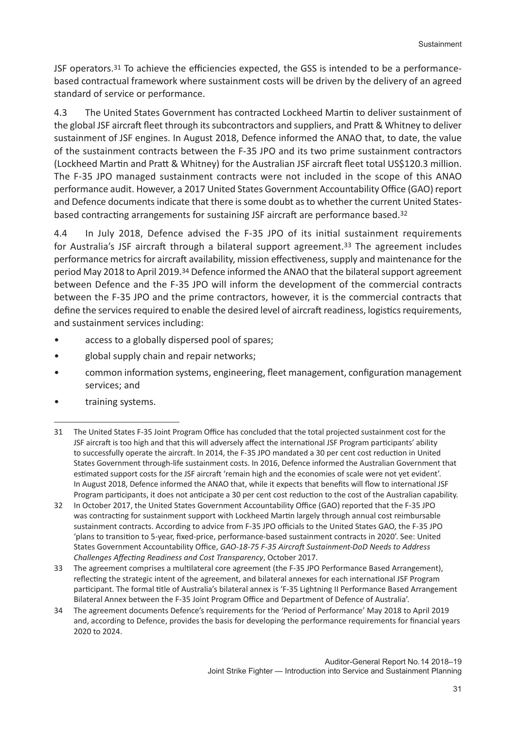JSF operators.<sup>31</sup> To achieve the efficiencies expected, the GSS is intended to be a performancebased contractual framework where sustainment costs will be driven by the delivery of an agreed standard of service or performance.

4.3 The United States Government has contracted Lockheed Martin to deliver sustainment of the global JSF aircraft fleet through its subcontractors and suppliers, and Pratt & Whitney to deliver sustainment of JSF engines. In August 2018, Defence informed the ANAO that, to date, the value of the sustainment contracts between the F-35 JPO and its two prime sustainment contractors (Lockheed Martin and Pratt & Whitney) for the Australian JSF aircraft fleet total US\$120.3 million. The F-35 JPO managed sustainment contracts were not included in the scope of this ANAO performance audit. However, a 2017 United States Government Accountability Office (GAO) report and Defence documents indicate that there is some doubt as to whether the current United Statesbased contracting arrangements for sustaining JSF aircraft are performance based.32

4.4 In July 2018, Defence advised the F-35 JPO of its initial sustainment requirements for Australia's JSF aircraft through a bilateral support agreement.<sup>33</sup> The agreement includes performance metrics for aircraft availability, mission effectiveness, supply and maintenance for the period May 2018 to April 2019.34 Defence informed the ANAO that the bilateral support agreement between Defence and the F-35 JPO will inform the development of the commercial contracts between the F-35 JPO and the prime contractors, however, it is the commercial contracts that define the services required to enable the desired level of aircraft readiness, logistics requirements, and sustainment services including:

- access to a globally dispersed pool of spares;
- global supply chain and repair networks;
- common information systems, engineering, fleet management, configuration management services; and
- training systems.

- 32 In October 2017, the United States Government Accountability Office (GAO) reported that the F-35 JPO was contracting for sustainment support with Lockheed Martin largely through annual cost reimbursable sustainment contracts. According to advice from F-35 JPO officials to the United States GAO, the F-35 JPO 'plans to transition to 5-year, fixed-price, performance-based sustainment contracts in 2020'. See: United States Government Accountability Office, *GAO-18-75 F-35 Aircraft Sustainment-DoD Needs to Address Challenges Affecting Readiness and Cost Transparency*, October 2017.
- 33 The agreement comprises a multilateral core agreement (the F-35 JPO Performance Based Arrangement), reflecting the strategic intent of the agreement, and bilateral annexes for each international JSF Program participant. The formal title of Australia's bilateral annex is 'F-35 Lightning II Performance Based Arrangement Bilateral Annex between the F-35 Joint Program Office and Department of Defence of Australia'.
- 34 The agreement documents Defence's requirements for the 'Period of Performance' May 2018 to April 2019 and, according to Defence, provides the basis for developing the performance requirements for financial years 2020 to 2024.

<sup>31</sup> The United States F-35 Joint Program Office has concluded that the total projected sustainment cost for the JSF aircraft is too high and that this will adversely affect the international JSF Program participants' ability to successfully operate the aircraft. In 2014, the F-35 JPO mandated a 30 per cent cost reduction in United States Government through-life sustainment costs. In 2016, Defence informed the Australian Government that estimated support costs for the JSF aircraft 'remain high and the economies of scale were not yet evident'. In August 2018, Defence informed the ANAO that, while it expects that benefits will flow to international JSF Program participants, it does not anticipate a 30 per cent cost reduction to the cost of the Australian capability.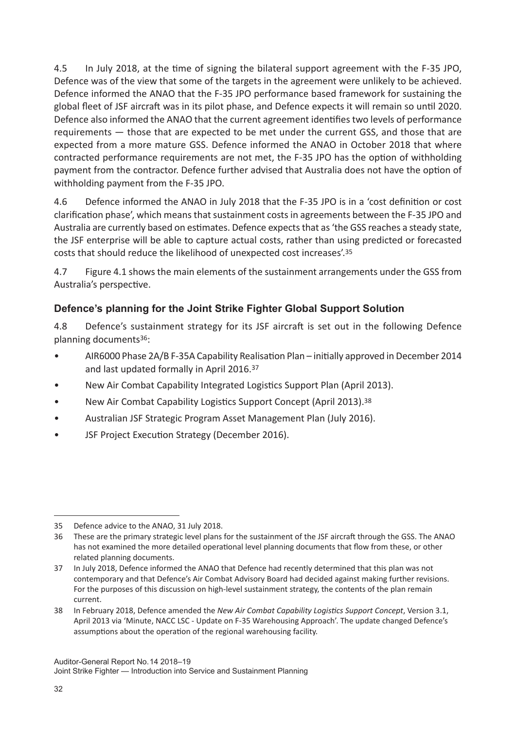4.5 In July 2018, at the time of signing the bilateral support agreement with the F-35 JPO, Defence was of the view that some of the targets in the agreement were unlikely to be achieved. Defence informed the ANAO that the F-35 JPO performance based framework for sustaining the global fleet of JSF aircraft was in its pilot phase, and Defence expects it will remain so until 2020. Defence also informed the ANAO that the current agreement identifies two levels of performance requirements — those that are expected to be met under the current GSS, and those that are expected from a more mature GSS. Defence informed the ANAO in October 2018 that where contracted performance requirements are not met, the F-35 JPO has the option of withholding payment from the contractor. Defence further advised that Australia does not have the option of withholding payment from the F-35 JPO.

4.6 Defence informed the ANAO in July 2018 that the F-35 JPO is in a 'cost definition or cost clarification phase', which means that sustainment costs in agreements between the F-35 JPO and Australia are currently based on estimates. Defence expects that as 'the GSS reaches a steady state, the JSF enterprise will be able to capture actual costs, rather than using predicted or forecasted costs that should reduce the likelihood of unexpected cost increases'.35

4.7 Figure 4.1 shows the main elements of the sustainment arrangements under the GSS from Australia's perspective.

## **Defence's planning for the Joint Strike Fighter Global Support Solution**

4.8 Defence's sustainment strategy for its JSF aircraft is set out in the following Defence planning documents36:

- AIR6000 Phase 2A/B F-35A Capability Realisation Plan initially approved in December 2014 and last updated formally in April 2016.<sup>37</sup>
- New Air Combat Capability Integrated Logistics Support Plan (April 2013).
- New Air Combat Capability Logistics Support Concept (April 2013).<sup>38</sup>
- Australian JSF Strategic Program Asset Management Plan (July 2016).
- JSF Project Execution Strategy (December 2016).

<sup>35</sup> Defence advice to the ANAO, 31 July 2018.

<sup>36</sup> These are the primary strategic level plans for the sustainment of the JSF aircraft through the GSS. The ANAO has not examined the more detailed operational level planning documents that flow from these, or other related planning documents.

<sup>37</sup> In July 2018, Defence informed the ANAO that Defence had recently determined that this plan was not contemporary and that Defence's Air Combat Advisory Board had decided against making further revisions. For the purposes of this discussion on high-level sustainment strategy, the contents of the plan remain current.

<sup>38</sup> In February 2018, Defence amended the *New Air Combat Capability Logistics Support Concept*, Version 3.1, April 2013 via 'Minute, NACC LSC - Update on F-35 Warehousing Approach'. The update changed Defence's assumptions about the operation of the regional warehousing facility.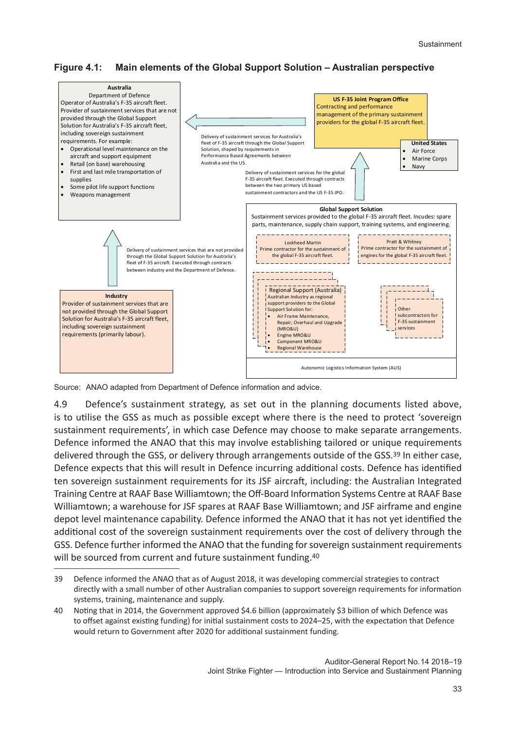**Figure 4.1: Main elements of the Global Support Solution – Australian perspective**



Source: ANAO adapted from Department of Defence information and advice.

4.9 Defence's sustainment strategy, as set out in the planning documents listed above, is to utilise the GSS as much as possible except where there is the need to protect 'sovereign sustainment requirements', in which case Defence may choose to make separate arrangements. Defence informed the ANAO that this may involve establishing tailored or unique requirements delivered through the GSS, or delivery through arrangements outside of the GSS.<sup>39</sup> In either case, Defence expects that this will result in Defence incurring additional costs. Defence has identified ten sovereign sustainment requirements for its JSF aircraft, including: the Australian Integrated Training Centre at RAAF Base Williamtown; the Off-Board Information Systems Centre at RAAF Base Williamtown; a warehouse for JSF spares at RAAF Base Williamtown; and JSF airframe and engine depot level maintenance capability. Defence informed the ANAO that it has not yet identified the additional cost of the sovereign sustainment requirements over the cost of delivery through the GSS. Defence further informed the ANAO that the funding for sovereign sustainment requirements will be sourced from current and future sustainment funding.<sup>40</sup>

<sup>39</sup> Defence informed the ANAO that as of August 2018, it was developing commercial strategies to contract directly with a small number of other Australian companies to support sovereign requirements for information systems, training, maintenance and supply.

<sup>40</sup> Noting that in 2014, the Government approved \$4.6 billion (approximately \$3 billion of which Defence was to offset against existing funding) for initial sustainment costs to 2024–25, with the expectation that Defence would return to Government after 2020 for additional sustainment funding.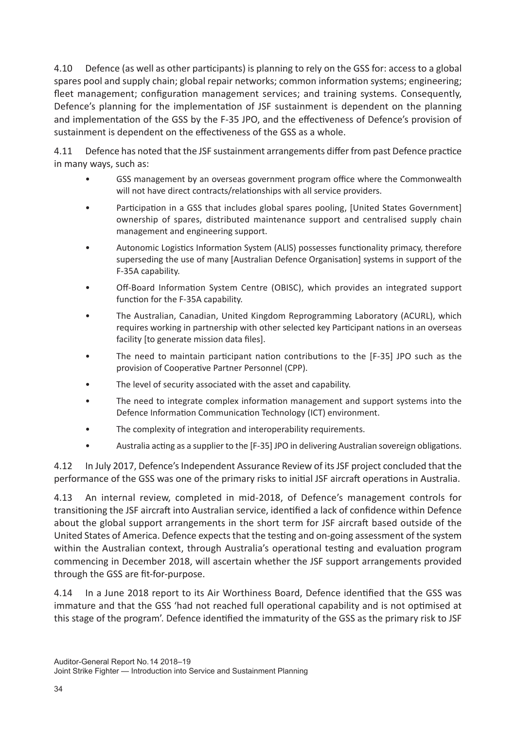4.10 Defence (as well as other participants) is planning to rely on the GSS for: access to a global spares pool and supply chain; global repair networks; common information systems; engineering; fleet management; configuration management services; and training systems. Consequently, Defence's planning for the implementation of JSF sustainment is dependent on the planning and implementation of the GSS by the F-35 JPO, and the effectiveness of Defence's provision of sustainment is dependent on the effectiveness of the GSS as a whole.

4.11 Defence has noted that the JSF sustainment arrangements differ from past Defence practice in many ways, such as:

- GSS management by an overseas government program office where the Commonwealth will not have direct contracts/relationships with all service providers.
- Participation in a GSS that includes global spares pooling, [United States Government] ownership of spares, distributed maintenance support and centralised supply chain management and engineering support.
- Autonomic Logistics Information System (ALIS) possesses functionality primacy, therefore superseding the use of many [Australian Defence Organisation] systems in support of the F-35A capability.
- Off-Board Information System Centre (OBISC), which provides an integrated support function for the F-35A capability.
- The Australian, Canadian, United Kingdom Reprogramming Laboratory (ACURL), which requires working in partnership with other selected key Participant nations in an overseas facility [to generate mission data files].
- The need to maintain participant nation contributions to the [F-35] JPO such as the provision of Cooperative Partner Personnel (CPP).
- The level of security associated with the asset and capability.
- The need to integrate complex information management and support systems into the Defence Information Communication Technology (ICT) environment.
- The complexity of integration and interoperability requirements.
- Australia acting as a supplier to the [F-35] JPO in delivering Australian sovereign obligations.

4.12 In July 2017, Defence's Independent Assurance Review of its JSF project concluded that the performance of the GSS was one of the primary risks to initial JSF aircraft operations in Australia.

4.13 An internal review, completed in mid-2018, of Defence's management controls for transitioning the JSF aircraft into Australian service, identified a lack of confidence within Defence about the global support arrangements in the short term for JSF aircraft based outside of the United States of America. Defence expects that the testing and on‐going assessment of the system within the Australian context, through Australia's operational testing and evaluation program commencing in December 2018, will ascertain whether the JSF support arrangements provided through the GSS are fit-for-purpose.

4.14 In a June 2018 report to its Air Worthiness Board, Defence identified that the GSS was immature and that the GSS 'had not reached full operational capability and is not optimised at this stage of the program'. Defence identified the immaturity of the GSS as the primary risk to JSF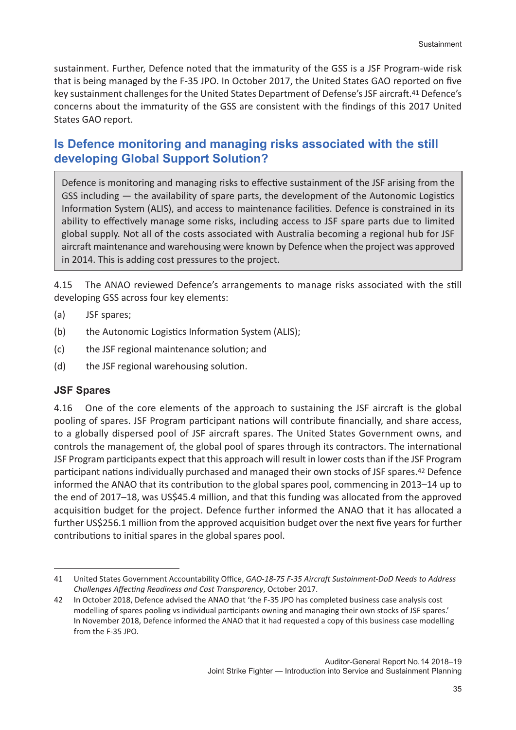sustainment. Further, Defence noted that the immaturity of the GSS is a JSF Program-wide risk that is being managed by the F-35 JPO. In October 2017, the United States GAO reported on five key sustainment challenges for the United States Department of Defense's JSF aircraft.41 Defence's concerns about the immaturity of the GSS are consistent with the findings of this 2017 United States GAO report.

## **Is Defence monitoring and managing risks associated with the still developing Global Support Solution?**

Defence is monitoring and managing risks to effective sustainment of the JSF arising from the GSS including — the availability of spare parts, the development of the Autonomic Logistics Information System (ALIS), and access to maintenance facilities. Defence is constrained in its ability to effectively manage some risks, including access to JSF spare parts due to limited global supply. Not all of the costs associated with Australia becoming a regional hub for JSF aircraft maintenance and warehousing were known by Defence when the project was approved in 2014. This is adding cost pressures to the project.

4.15 The ANAO reviewed Defence's arrangements to manage risks associated with the still developing GSS across four key elements:

- (a) JSF spares;
- (b) the Autonomic Logistics Information System (ALIS);
- (c) the JSF regional maintenance solution; and
- (d) the JSF regional warehousing solution.

#### **JSF Spares**

4.16 One of the core elements of the approach to sustaining the JSF aircraft is the global pooling of spares. JSF Program participant nations will contribute financially, and share access, to a globally dispersed pool of JSF aircraft spares. The United States Government owns, and controls the management of, the global pool of spares through its contractors. The international JSF Program participants expect that this approach will result in lower costs than if the JSF Program participant nations individually purchased and managed their own stocks of JSF spares.42 Defence informed the ANAO that its contribution to the global spares pool, commencing in 2013–14 up to the end of 2017–18, was US\$45.4 million, and that this funding was allocated from the approved acquisition budget for the project. Defence further informed the ANAO that it has allocated a further US\$256.1 million from the approved acquisition budget over the next five years for further contributions to initial spares in the global spares pool.

<sup>41</sup> United States Government Accountability Office, *GAO-18-75 F-35 Aircraft Sustainment-DoD Needs to Address Challenges Affecting Readiness and Cost Transparency*, October 2017.

<sup>42</sup> In October 2018, Defence advised the ANAO that 'the F-35 JPO has completed business case analysis cost modelling of spares pooling vs individual participants owning and managing their own stocks of JSF spares.' In November 2018, Defence informed the ANAO that it had requested a copy of this business case modelling from the F-35 JPO.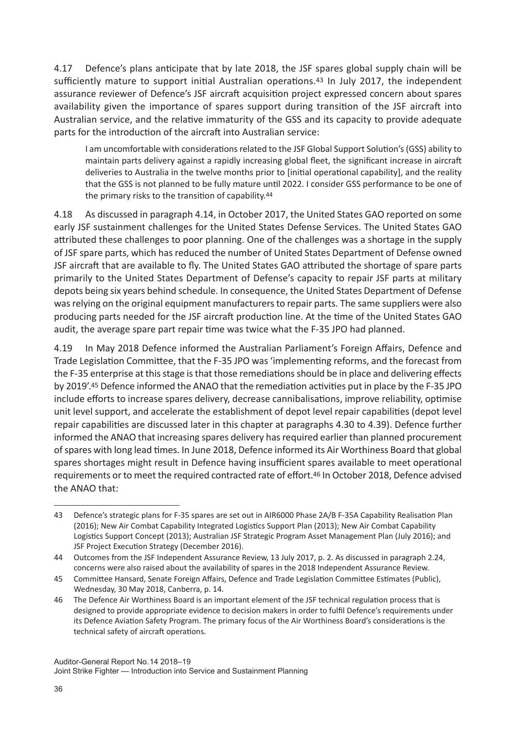4.17 Defence's plans anticipate that by late 2018, the JSF spares global supply chain will be sufficiently mature to support initial Australian operations.<sup>43</sup> In July 2017, the independent assurance reviewer of Defence's JSF aircraft acquisition project expressed concern about spares availability given the importance of spares support during transition of the JSF aircraft into Australian service, and the relative immaturity of the GSS and its capacity to provide adequate parts for the introduction of the aircraft into Australian service:

I am uncomfortable with considerations related to the JSF Global Support Solution's (GSS) ability to maintain parts delivery against a rapidly increasing global fleet, the significant increase in aircraft deliveries to Australia in the twelve months prior to [initial operational capability], and the reality that the GSS is not planned to be fully mature until 2022. I consider GSS performance to be one of the primary risks to the transition of capability.44

4.18 As discussed in paragraph 4.14, in October 2017, the United States GAO reported on some early JSF sustainment challenges for the United States Defense Services. The United States GAO attributed these challenges to poor planning. One of the challenges was a shortage in the supply of JSF spare parts, which has reduced the number of United States Department of Defense owned JSF aircraft that are available to fly. The United States GAO attributed the shortage of spare parts primarily to the United States Department of Defense's capacity to repair JSF parts at military depots being six years behind schedule. In consequence, the United States Department of Defense was relying on the original equipment manufacturers to repair parts. The same suppliers were also producing parts needed for the JSF aircraft production line. At the time of the United States GAO audit, the average spare part repair time was twice what the F-35 JPO had planned.

4.19 In May 2018 Defence informed the Australian Parliament's Foreign Affairs, Defence and Trade Legislation Committee, that the F-35 JPO was 'implementing reforms, and the forecast from the F-35 enterprise at this stage is that those remediations should be in place and delivering effects by 2019'.45 Defence informed the ANAO that the remediation activities put in place by the F-35 JPO include efforts to increase spares delivery, decrease cannibalisations, improve reliability, optimise unit level support, and accelerate the establishment of depot level repair capabilities (depot level repair capabilities are discussed later in this chapter at paragraphs 4.30 to 4.39). Defence further informed the ANAO that increasing spares delivery has required earlier than planned procurement of spares with long lead times. In June 2018, Defence informed its Air Worthiness Board that global spares shortages might result in Defence having insufficient spares available to meet operational requirements or to meet the required contracted rate of effort.46 In October 2018, Defence advised the ANAO that:

<sup>43</sup> Defence's strategic plans for F-35 spares are set out in AIR6000 Phase 2A/B F-35A Capability Realisation Plan (2016); New Air Combat Capability Integrated Logistics Support Plan (2013); New Air Combat Capability Logistics Support Concept (2013); Australian JSF Strategic Program Asset Management Plan (July 2016); and JSF Project Execution Strategy (December 2016).

<sup>44</sup> Outcomes from the JSF Independent Assurance Review, 13 July 2017, p. 2. As discussed in paragraph 2.24, concerns were also raised about the availability of spares in the 2018 Independent Assurance Review.

<sup>45</sup> Committee Hansard, Senate Foreign Affairs, Defence and Trade Legislation Committee Estimates (Public), Wednesday, 30 May 2018, Canberra, p. 14.

<sup>46</sup> The Defence Air Worthiness Board is an important element of the JSF technical regulation process that is designed to provide appropriate evidence to decision makers in order to fulfil Defence's requirements under its Defence Aviation Safety Program. The primary focus of the Air Worthiness Board's considerations is the technical safety of aircraft operations.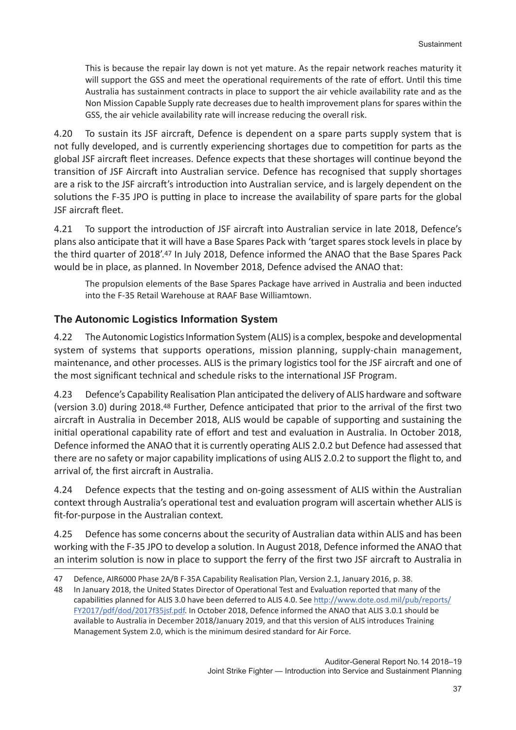This is because the repair lay down is not yet mature. As the repair network reaches maturity it will support the GSS and meet the operational requirements of the rate of effort. Until this time Australia has sustainment contracts in place to support the air vehicle availability rate and as the Non Mission Capable Supply rate decreases due to health improvement plans for spares within the GSS, the air vehicle availability rate will increase reducing the overall risk.

4.20 To sustain its JSF aircraft, Defence is dependent on a spare parts supply system that is not fully developed, and is currently experiencing shortages due to competition for parts as the global JSF aircraft fleet increases. Defence expects that these shortages will continue beyond the transition of JSF Aircraft into Australian service. Defence has recognised that supply shortages are a risk to the JSF aircraft's introduction into Australian service, and is largely dependent on the solutions the F-35 JPO is putting in place to increase the availability of spare parts for the global JSF aircraft fleet.

4.21 To support the introduction of JSF aircraft into Australian service in late 2018, Defence's plans also anticipate that it will have a Base Spares Pack with 'target spares stock levels in place by the third quarter of 2018'.47 In July 2018, Defence informed the ANAO that the Base Spares Pack would be in place, as planned. In November 2018, Defence advised the ANAO that:

The propulsion elements of the Base Spares Package have arrived in Australia and been inducted into the F-35 Retail Warehouse at RAAF Base Williamtown.

## **The Autonomic Logistics Information System**

4.22 The Autonomic Logistics Information System (ALIS) is a complex, bespoke and developmental system of systems that supports operations, mission planning, supply-chain management, maintenance, and other processes. ALIS is the primary logistics tool for the JSF aircraft and one of the most significant technical and schedule risks to the international JSF Program.

4.23 Defence's Capability Realisation Plan anticipated the delivery of ALIS hardware and software (version 3.0) during 2018.48 Further, Defence anticipated that prior to the arrival of the first two aircraft in Australia in December 2018, ALIS would be capable of supporting and sustaining the initial operational capability rate of effort and test and evaluation in Australia. In October 2018, Defence informed the ANAO that it is currently operating ALIS 2.0.2 but Defence had assessed that there are no safety or major capability implications of using ALIS 2.0.2 to support the flight to, and arrival of, the first aircraft in Australia.

4.24 Defence expects that the testing and on-going assessment of ALIS within the Australian context through Australia's operational test and evaluation program will ascertain whether ALIS is fit-for-purpose in the Australian context*.*

4.25 Defence has some concerns about the security of Australian data within ALIS and has been working with the F-35 JPO to develop a solution. In August 2018, Defence informed the ANAO that an interim solution is now in place to support the ferry of the first two JSF aircraft to Australia in

<sup>47</sup> Defence, AIR6000 Phase 2A/B F-35A Capability Realisation Plan, Version 2.1, January 2016, p. 38.

<sup>48</sup> In January 2018, the United States Director of Operational Test and Evaluation reported that many of the capabilities planned for ALIS 3.0 have been deferred to ALIS 4.0. See http://www.dote.osd.mil/pub/reports/ FY2017/pdf/dod/2017f35jsf.pdf. In October 2018, Defence informed the ANAO that ALIS 3.0.1 should be available to Australia in December 2018/January 2019, and that this version of ALIS introduces Training Management System 2.0, which is the minimum desired standard for Air Force.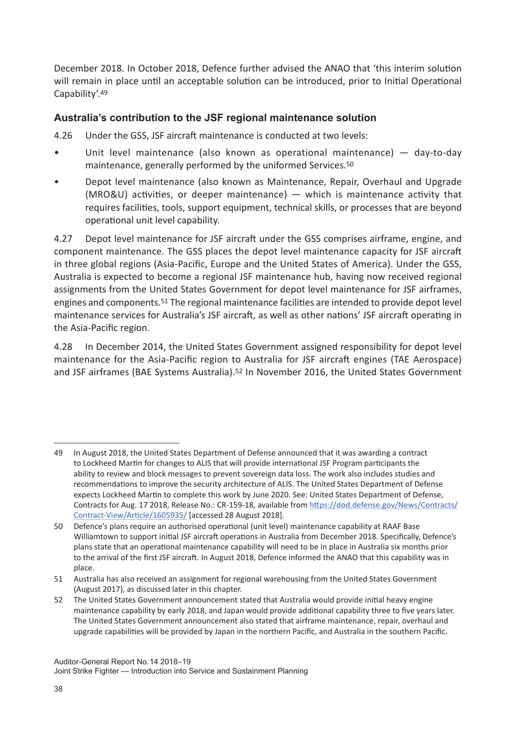December 2018. In October 2018, Defence further advised the ANAO that 'this interim solution will remain in place until an acceptable solution can be introduced, prior to Initial Operational Capability'.49

## **Australia's contribution to the JSF regional maintenance solution**

4.26 Under the GSS, JSF aircraft maintenance is conducted at two levels:

- Unit level maintenance (also known as operational maintenance) day-to-day maintenance, generally performed by the uniformed Services.50
- Depot level maintenance (also known as Maintenance, Repair, Overhaul and Upgrade (MRO&U) activities, or deeper maintenance) — which is maintenance activity that requires facilities, tools, support equipment, technical skills, or processes that are beyond operational unit level capability.

4.27 Depot level maintenance for JSF aircraft under the GSS comprises airframe, engine, and component maintenance. The GSS places the depot level maintenance capacity for JSF aircraft in three global regions (Asia-Pacific, Europe and the United States of America). Under the GSS, Australia is expected to become a regional JSF maintenance hub, having now received regional assignments from the United States Government for depot level maintenance for JSF airframes, engines and components.51 The regional maintenance facilities are intended to provide depot level maintenance services for Australia's JSF aircraft, as well as other nations' JSF aircraft operating in the Asia-Pacific region.

4.28 In December 2014, the United States Government assigned responsibility for depot level maintenance for the Asia-Pacific region to Australia for JSF aircraft engines (TAE Aerospace) and JSF airframes (BAE Systems Australia).52 In November 2016, the United States Government

<sup>49</sup> In August 2018, the United States Department of Defense announced that it was awarding a contract to Lockheed Martin for changes to ALIS that will provide international JSF Program participants the ability to review and block messages to prevent sovereign data loss. The work also includes studies and recommendations to improve the security architecture of ALIS. The United States Department of Defense expects Lockheed Martin to complete this work by June 2020. See: United States Department of Defense, Contracts for Aug. 17 2018, Release No.: CR-159-18, available from https://dod.defense.gov/News/Contracts/ Contract-View/Article/1605935/ [accessed 28 August 2018].

<sup>50</sup> Defence's plans require an authorised operational (unit level) maintenance capability at RAAF Base Williamtown to support initial JSF aircraft operations in Australia from December 2018. Specifically, Defence's plans state that an operational maintenance capability will need to be in place in Australia six months prior to the arrival of the first JSF aircraft. In August 2018, Defence informed the ANAO that this capability was in place.

<sup>51</sup> Australia has also received an assignment for regional warehousing from the United States Government (August 2017), as discussed later in this chapter.

<sup>52</sup> The United States Government announcement stated that Australia would provide initial heavy engine maintenance capability by early 2018, and Japan would provide additional capability three to five years later. The United States Government announcement also stated that airframe maintenance, repair, overhaul and upgrade capabilities will be provided by Japan in the northern Pacific, and Australia in the southern Pacific.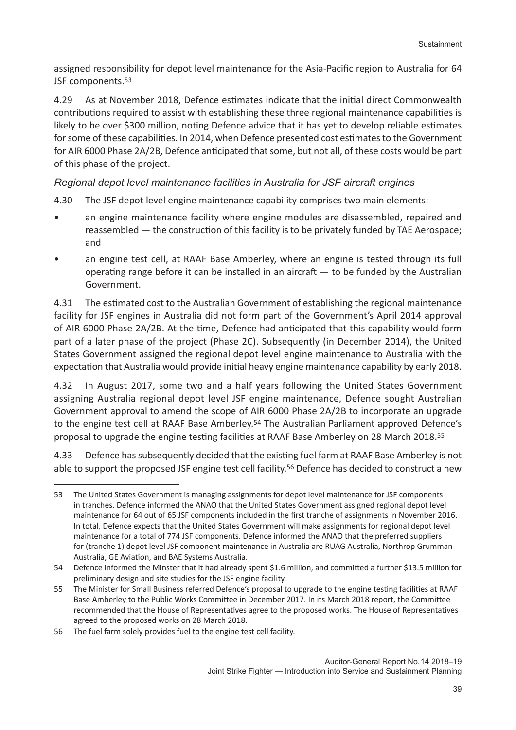assigned responsibility for depot level maintenance for the Asia-Pacific region to Australia for 64 JSF components.<sup>53</sup>

4.29 As at November 2018, Defence estimates indicate that the initial direct Commonwealth contributions required to assist with establishing these three regional maintenance capabilities is likely to be over \$300 million, noting Defence advice that it has yet to develop reliable estimates for some of these capabilities. In 2014, when Defence presented cost estimates to the Government for AIR 6000 Phase 2A/2B, Defence anticipated that some, but not all, of these costs would be part of this phase of the project.

#### *Regional depot level maintenance facilities in Australia for JSF aircraft engines*

4.30 The JSF depot level engine maintenance capability comprises two main elements:

- an engine maintenance facility where engine modules are disassembled, repaired and reassembled — the construction of this facility is to be privately funded by TAE Aerospace; and
- an engine test cell, at RAAF Base Amberley, where an engine is tested through its full operating range before it can be installed in an aircraft  $-$  to be funded by the Australian Government.

4.31 The estimated cost to the Australian Government of establishing the regional maintenance facility for JSF engines in Australia did not form part of the Government's April 2014 approval of AIR 6000 Phase 2A/2B. At the time, Defence had anticipated that this capability would form part of a later phase of the project (Phase 2C). Subsequently (in December 2014), the United States Government assigned the regional depot level engine maintenance to Australia with the expectation that Australia would provide initial heavy engine maintenance capability by early 2018.

4.32 In August 2017, some two and a half years following the United States Government assigning Australia regional depot level JSF engine maintenance, Defence sought Australian Government approval to amend the scope of AIR 6000 Phase 2A/2B to incorporate an upgrade to the engine test cell at RAAF Base Amberley.54 The Australian Parliament approved Defence's proposal to upgrade the engine testing facilities at RAAF Base Amberley on 28 March 2018.<sup>55</sup>

4.33 Defence has subsequently decided that the existing fuel farm at RAAF Base Amberley is not able to support the proposed JSF engine test cell facility.<sup>56</sup> Defence has decided to construct a new

<sup>53</sup> The United States Government is managing assignments for depot level maintenance for JSF components in tranches. Defence informed the ANAO that the United States Government assigned regional depot level maintenance for 64 out of 65 JSF components included in the first tranche of assignments in November 2016. In total, Defence expects that the United States Government will make assignments for regional depot level maintenance for a total of 774 JSF components. Defence informed the ANAO that the preferred suppliers for (tranche 1) depot level JSF component maintenance in Australia are RUAG Australia, Northrop Grumman Australia, GE Aviation, and BAE Systems Australia.

<sup>54</sup> Defence informed the Minster that it had already spent \$1.6 million, and committed a further \$13.5 million for preliminary design and site studies for the JSF engine facility.

<sup>55</sup> The Minister for Small Business referred Defence's proposal to upgrade to the engine testing facilities at RAAF Base Amberley to the Public Works Committee in December 2017. In its March 2018 report, the Committee recommended that the House of Representatives agree to the proposed works. The House of Representatives agreed to the proposed works on 28 March 2018.

<sup>56</sup> The fuel farm solely provides fuel to the engine test cell facility.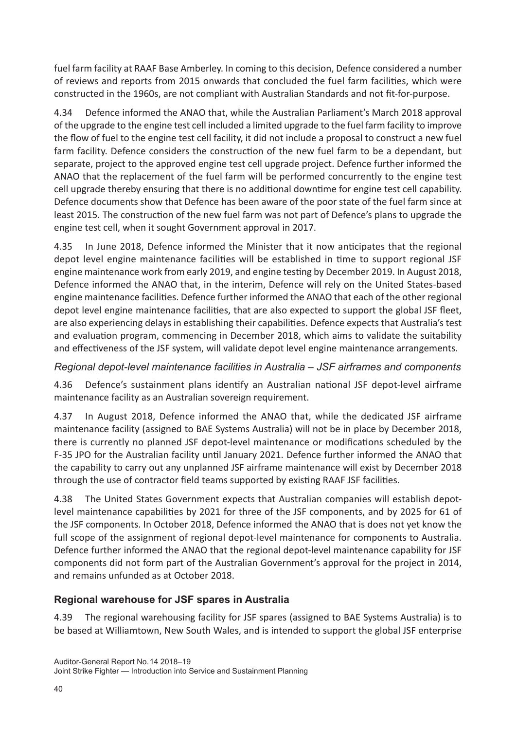fuel farm facility at RAAF Base Amberley. In coming to this decision, Defence considered a number of reviews and reports from 2015 onwards that concluded the fuel farm facilities, which were constructed in the 1960s, are not compliant with Australian Standards and not fit-for-purpose.

4.34 Defence informed the ANAO that, while the Australian Parliament's March 2018 approval of the upgrade to the engine test cell included a limited upgrade to the fuel farm facility to improve the flow of fuel to the engine test cell facility, it did not include a proposal to construct a new fuel farm facility. Defence considers the construction of the new fuel farm to be a dependant, but separate, project to the approved engine test cell upgrade project. Defence further informed the ANAO that the replacement of the fuel farm will be performed concurrently to the engine test cell upgrade thereby ensuring that there is no additional downtime for engine test cell capability. Defence documents show that Defence has been aware of the poor state of the fuel farm since at least 2015. The construction of the new fuel farm was not part of Defence's plans to upgrade the engine test cell, when it sought Government approval in 2017.

4.35 In June 2018, Defence informed the Minister that it now anticipates that the regional depot level engine maintenance facilities will be established in time to support regional JSF engine maintenance work from early 2019, and engine testing by December 2019. In August 2018, Defence informed the ANAO that, in the interim, Defence will rely on the United States-based engine maintenance facilities. Defence further informed the ANAO that each of the other regional depot level engine maintenance facilities, that are also expected to support the global JSF fleet, are also experiencing delays in establishing their capabilities. Defence expects that Australia's test and evaluation program, commencing in December 2018, which aims to validate the suitability and effectiveness of the JSF system, will validate depot level engine maintenance arrangements.

## *Regional depot-level maintenance facilities in Australia – JSF airframes and components*

4.36 Defence's sustainment plans identify an Australian national JSF depot-level airframe maintenance facility as an Australian sovereign requirement.

4.37 In August 2018, Defence informed the ANAO that, while the dedicated JSF airframe maintenance facility (assigned to BAE Systems Australia) will not be in place by December 2018, there is currently no planned JSF depot-level maintenance or modifications scheduled by the F-35 JPO for the Australian facility until January 2021. Defence further informed the ANAO that the capability to carry out any unplanned JSF airframe maintenance will exist by December 2018 through the use of contractor field teams supported by existing RAAF JSF facilities.

4.38 The United States Government expects that Australian companies will establish depotlevel maintenance capabilities by 2021 for three of the JSF components, and by 2025 for 61 of the JSF components. In October 2018, Defence informed the ANAO that is does not yet know the full scope of the assignment of regional depot-level maintenance for components to Australia. Defence further informed the ANAO that the regional depot-level maintenance capability for JSF components did not form part of the Australian Government's approval for the project in 2014, and remains unfunded as at October 2018.

## **Regional warehouse for JSF spares in Australia**

4.39 The regional warehousing facility for JSF spares (assigned to BAE Systems Australia) is to be based at Williamtown, New South Wales, and is intended to support the global JSF enterprise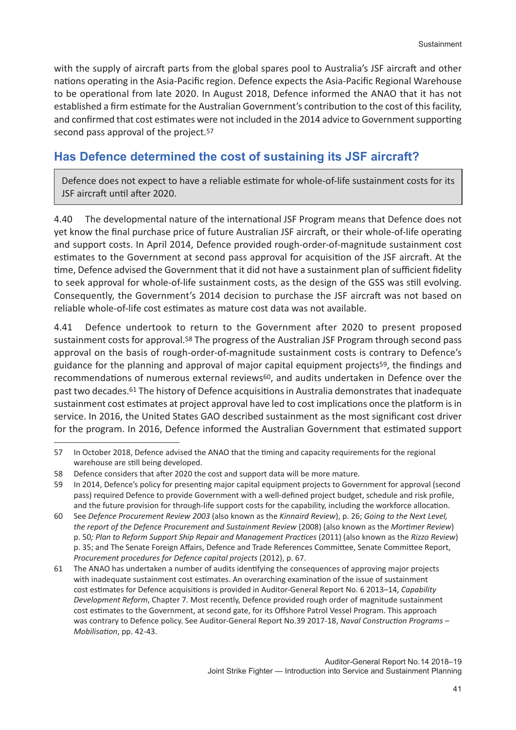with the supply of aircraft parts from the global spares pool to Australia's JSF aircraft and other nations operating in the Asia-Pacific region. Defence expects the Asia-Pacific Regional Warehouse to be operational from late 2020. In August 2018, Defence informed the ANAO that it has not established a firm estimate for the Australian Government's contribution to the cost of this facility, and confirmed that cost estimates were not included in the 2014 advice to Government supporting second pass approval of the project.<sup>57</sup>

## **Has Defence determined the cost of sustaining its JSF aircraft?**

Defence does not expect to have a reliable estimate for whole-of-life sustainment costs for its JSF aircraft until after 2020.

4.40 The developmental nature of the international JSF Program means that Defence does not yet know the final purchase price of future Australian JSF aircraft, or their whole-of-life operating and support costs. In April 2014, Defence provided rough-order-of-magnitude sustainment cost estimates to the Government at second pass approval for acquisition of the JSF aircraft. At the time, Defence advised the Government that it did not have a sustainment plan of sufficient fidelity to seek approval for whole-of-life sustainment costs, as the design of the GSS was still evolving. Consequently, the Government's 2014 decision to purchase the JSF aircraft was not based on reliable whole-of-life cost estimates as mature cost data was not available.

4.41 Defence undertook to return to the Government after 2020 to present proposed sustainment costs for approval.<sup>58</sup> The progress of the Australian JSF Program through second pass approval on the basis of rough-order-of-magnitude sustainment costs is contrary to Defence's guidance for the planning and approval of major capital equipment projects59, the findings and recommendations of numerous external reviews<sup>60</sup>, and audits undertaken in Defence over the past two decades.61 The history of Defence acquisitions in Australia demonstrates that inadequate sustainment cost estimates at project approval have led to cost implications once the platform is in service. In 2016, the United States GAO described sustainment as the most significant cost driver for the program. In 2016, Defence informed the Australian Government that estimated support

<sup>57</sup> In October 2018, Defence advised the ANAO that the timing and capacity requirements for the regional warehouse are still being developed.

<sup>58</sup> Defence considers that after 2020 the cost and support data will be more mature.

<sup>59</sup> In 2014, Defence's policy for presenting major capital equipment projects to Government for approval (second pass) required Defence to provide Government with a well-defined project budget, schedule and risk profile, and the future provision for through-life support costs for the capability, including the workforce allocation.

<sup>60</sup> See *Defence Procurement Review 2003* (also known as the *Kinnaird Review*), p. 26; *Going to the Next Level, the report of the Defence Procurement and Sustainment Review* (2008) (also known as the *Mortimer Review*) p. 50*; Plan to Reform Support Ship Repair and Management Practices* (2011) (also known as the *Rizzo Review*) p. 35; and The Senate Foreign Affairs, Defence and Trade References Committee, Senate Committee Report, *Procurement procedures for Defence capital projects* (2012), p. 67.

<sup>61</sup> The ANAO has undertaken a number of audits identifying the consequences of approving major projects with inadequate sustainment cost estimates. An overarching examination of the issue of sustainment cost estimates for Defence acquisitions is provided in Auditor-General Report No. 6 2013–14, *Capability Development Reform*, Chapter 7. Most recently, Defence provided rough order of magnitude sustainment cost estimates to the Government, at second gate, for its Offshore Patrol Vessel Program. This approach was contrary to Defence policy. See Auditor-General Report No.39 2017-18, *Naval Construction Programs – Mobilisation*, pp. 42-43.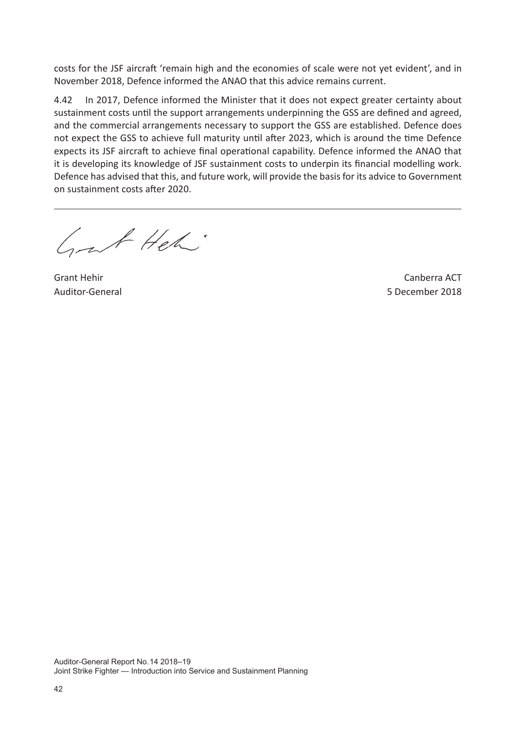costs for the JSF aircraft 'remain high and the economies of scale were not yet evident', and in November 2018, Defence informed the ANAO that this advice remains current.

4.42 In 2017, Defence informed the Minister that it does not expect greater certainty about sustainment costs until the support arrangements underpinning the GSS are defined and agreed, and the commercial arrangements necessary to support the GSS are established. Defence does not expect the GSS to achieve full maturity until after 2023, which is around the time Defence expects its JSF aircraft to achieve final operational capability. Defence informed the ANAO that it is developing its knowledge of JSF sustainment costs to underpin its financial modelling work. Defence has advised that this, and future work, will provide the basis for its advice to Government on sustainment costs after 2020.

Grat Heh

Grant Hehir Auditor-General

Canberra ACT 5 December 2018

Auditor-General Report No. 14 2018–19 Joint Strike Fighter — Introduction into Service and Sustainment Planning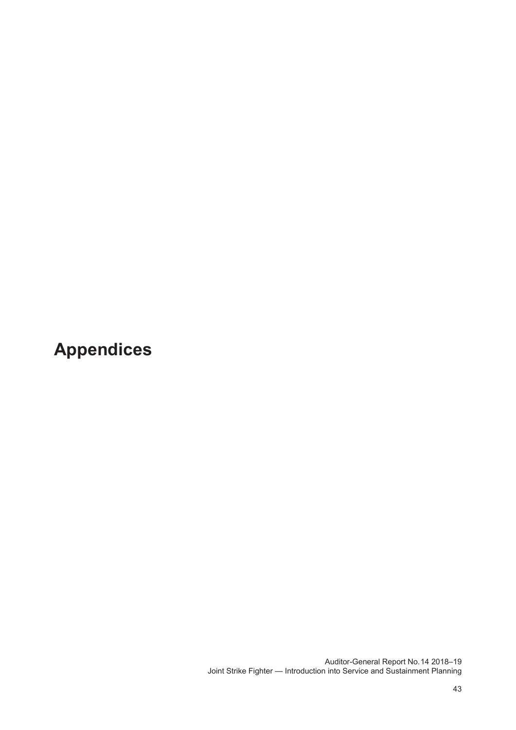**Appendices**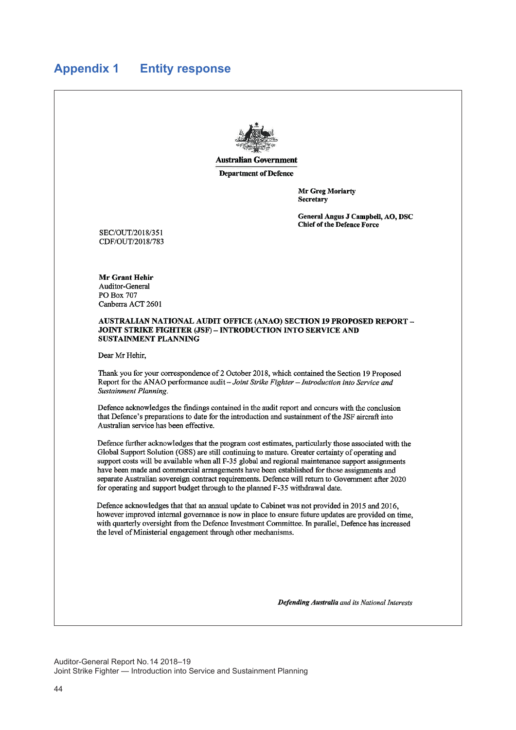## **Appendix 1 Entity response**



**Australian Government** 

**Department of Defence** 

Mr Greg Moriarty Secretary

General Angus J Campbell, AO, DSC Chief of the Defence Force

SEC/OUT/2018/351 CDF/OUT/2018/783

Mr Grant Hehir Auditor-General PO Box 707 Canberra ACT 2601

#### **AUSTRALIAN NATIONAL AUDIT OFFICE (ANAO) SECTION 19 PROPOSED REPORT -JOINT STRIKE FIGHTER (JSF) - INTRODUCTION INTO SERVICE AND SUSTAINMENT PLANNING**

Dear Mr Hehir,

Thank you for your correspondence of 2 October 2018, which contained the Section 19 Proposed Report for the ANAO performance audit - Joint Strike Fighter - Introduction into Service and Sustainment Planning.

Defence acknowledges the findings contained in the audit report and concurs with the conclusion that Defence's preparations to date for the introduction and sustainment of the JSF aircraft into Australian service has been effective.

Defence further acknowledges that the program cost estimates, particularly those associated with the Global Support Solution (GSS) are still continuing to mature. Greater certainty of operating and support costs will be available when all F-35 global and regional maintenance support assignments have been made and commercial arrangements have been established for those assignments and separate Australian sovereign contract requirements. Defence will return to Government after 2020 for operating and support budget through to the planned F-35 withdrawal date.

Defence acknowledges that that an annual update to Cabinet was not provided in 2015 and 2016, however improved internal governance is now in place to ensure future updates are provided on time, with quarterly oversight from the Defence Investment Committee. In parallel, Defence has increased the level of Ministerial engagement through other mechanisms.

Defending Australia and its National Interests

Auditor-General Report No. 14 2018–19 Joint Strike Fighter — Introduction into Service and Sustainment Planning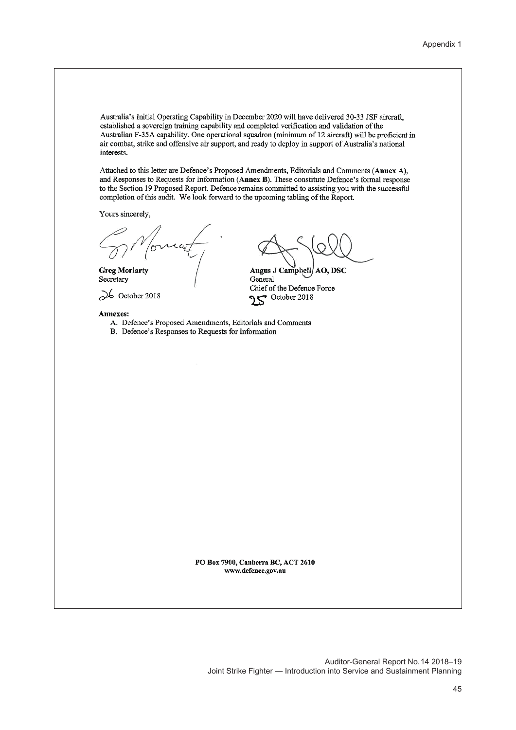Australia's Initial Operating Capability in December 2020 will have delivered 30-33 JSF aircraft, established a sovereign training capability and completed verification and validation of the Australian F-35A capability. One operational squadron (minimum of 12 aircraft) will be proficient in air combat, strike and offensive air support, and ready to deploy in support of Australia's national interests.

Attached to this letter are Defence's Proposed Amendments, Editorials and Comments (Annex A), and Responses to Requests for Information (Annex B). These constitute Defence's formal response to the Section 19 Proposed Report. Defence remains committed to assisting you with the successful completion of this audit. We look forward to the upcoming tabling of the Report.

Yours sincerely,

**Greg Moriarty** Secretary

 $\infty$  October 2018

#### Annexes:

- A. Defence's Proposed Amendments, Editorials and Comments
- B. Defence's Responses to Requests for Information

AO, DSC **Angus J Campbell** General Chief of the Defence Force October 2018

PO Box 7900, Canberra BC, ACT 2610 www.defence.gov.au